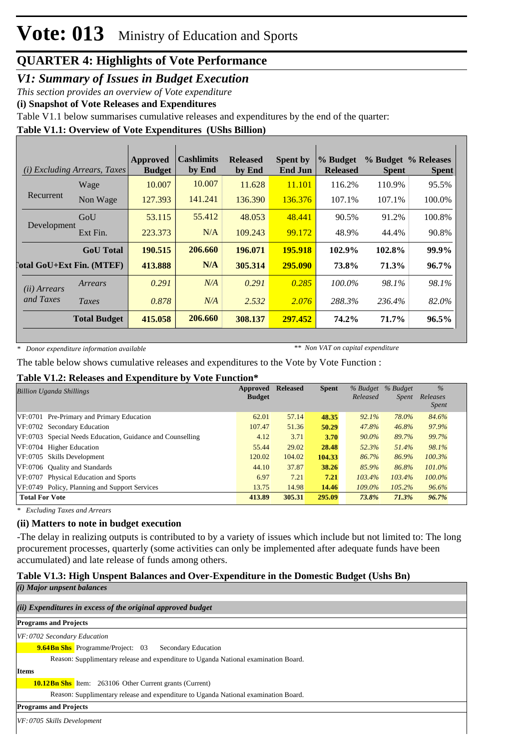## *V1: Summary of Issues in Budget Execution*

*This section provides an overview of Vote expenditure*

**(i) Snapshot of Vote Releases and Expenditures**

Table V1.1 below summarises cumulative releases and expenditures by the end of the quarter:

### **Table V1.1: Overview of Vote Expenditures (UShs Billion)**

| (i)                   | <i>Excluding Arrears, Taxes</i>  | Approved<br><b>Budget</b> | <b>Cashlimits</b><br>by End | <b>Released</b><br>by End | <b>Spent by</b><br><b>End Jun</b> | % Budget<br><b>Released</b> | <b>Spent</b> | % Budget % Releases<br><b>Spent</b> |
|-----------------------|----------------------------------|---------------------------|-----------------------------|---------------------------|-----------------------------------|-----------------------------|--------------|-------------------------------------|
|                       | Wage                             | 10.007                    | 10.007                      | 11.628                    | 11.101                            | 116.2%                      | 110.9%       | 95.5%                               |
| Recurrent             | Non Wage                         | 127.393                   | 141.241                     | 136.390                   | 136.376                           | 107.1%                      | 107.1%       | 100.0%                              |
|                       | GoU                              | 53.115                    | 55.412                      | 48.053                    | 48.441                            | 90.5%                       | 91.2%        | 100.8%                              |
| Development           | Ext Fin.                         | 223.373                   | N/A                         | 109.243                   | 99.172                            | 48.9%                       | 44.4%        | 90.8%                               |
|                       | <b>GoU</b> Total                 | 190.515                   | 206.660                     | 196.071                   | 195.918                           | 102.9%                      | 102.8%       | 99.9%                               |
|                       | <b>Total GoU+Ext Fin. (MTEF)</b> | 413.888                   | N/A                         | 305.314                   | 295.090                           | 73.8%                       | 71.3%        | $96.7\%$                            |
| ( <i>ii</i> ) Arrears | Arrears                          | 0.291                     | N/A                         | 0.291                     | 0.285                             | $100.0\%$                   | 98.1%        | 98.1%                               |
| and Taxes             | Taxes                            | 0.878                     | N/A                         | 2.532                     | 2.076                             | 288.3%                      | 236.4%       | 82.0%                               |
|                       | <b>Total Budget</b>              | 415.058                   | 206.660                     | 308.137                   | 297.452                           | 74.2%                       | 71.7%        | 96.5%                               |

*\* Donor expenditure information available*

*\*\* Non VAT on capital expenditure*

The table below shows cumulative releases and expenditures to the Vote by Vote Function :

### **Table V1.2: Releases and Expenditure by Vote Function\***

| <b>Billion Uganda Shillings</b>                           | Approved<br><b>Budget</b> | <b>Released</b> | <b>Spent</b> | % Budget % Budget<br>Released | Spent  | $\%$<br>Releases<br><i>Spent</i> |
|-----------------------------------------------------------|---------------------------|-----------------|--------------|-------------------------------|--------|----------------------------------|
| VF:0701 Pre-Primary and Primary Education                 | 62.01                     | 57.14           | 48.35        | $92.1\%$                      | 78.0%  | 84.6%                            |
| VF:0702 Secondary Education                               | 107.47                    | 51.36           | 50.29        | 47.8%                         | 46.8%  | 97.9%                            |
| VF:0703 Special Needs Education, Guidance and Counselling | 4.12                      | 3.71            | 3.70         | 90.0%                         | 89.7%  | 99.7%                            |
| VF:0704 Higher Education                                  | 55.44                     | 29.02           | 28.48        | 52.3%                         | 51.4%  | 98.1%                            |
| VF:0705 Skills Development                                | 120.02                    | 104.02          | 104.33       | 86.7%                         | 86.9%  | 100.3%                           |
| VF:0706 Ouality and Standards                             | 44.10                     | 37.87           | 38.26        | 85.9%                         | 86.8%  | 101.0%                           |
| VF:0707 Physical Education and Sports                     | 6.97                      | 7.21            | 7.21         | 103.4%                        | 103.4% | $100.0\%$                        |
| VF:0749 Policy, Planning and Support Services             | 13.75                     | 14.98           | 14.46        | 109.0%                        | 105.2% | 96.6%                            |
| <b>Total For Vote</b>                                     | 413.89                    | 305.31          | 295.09       | 73.8%                         | 71.3%  | 96.7%                            |

*\* Excluding Taxes and Arrears*

### **(ii) Matters to note in budget execution**

-The delay in realizing outputs is contributed to by a variety of issues which include but not limited to: The long procurement processes, quarterly (some activities can only be implemented after adequate funds have been accumulated) and late release of funds among others.

### **Table V1.3: High Unspent Balances and Over-Expenditure in the Domestic Budget (Ushs Bn)**

| $(i)$ Major unpsent balances                                                        |  |  |  |  |
|-------------------------------------------------------------------------------------|--|--|--|--|
|                                                                                     |  |  |  |  |
| (ii) Expenditures in excess of the original approved budget                         |  |  |  |  |
| <b>Programs and Projects</b>                                                        |  |  |  |  |
| VF: 0702 Secondary Education                                                        |  |  |  |  |
| <b>9.64Bn Shs</b> Programme/Project: 03<br><b>Secondary Education</b>               |  |  |  |  |
| Reason: Supplimentary release and expenditure to Uganda National examination Board. |  |  |  |  |
| <b>Items</b>                                                                        |  |  |  |  |
| <b>10.12 Bn Shs</b> Item: 263106 Other Current grants (Current)                     |  |  |  |  |
| Reason: Supplimentary release and expenditure to Uganda National examination Board. |  |  |  |  |
| <b>Programs and Projects</b>                                                        |  |  |  |  |
| VF: 0705 Skills Development                                                         |  |  |  |  |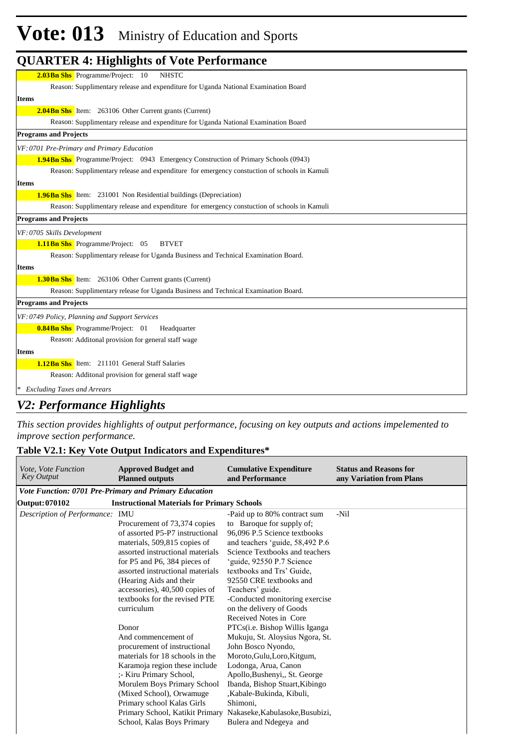# **Vote: 013** Ministry of Education and Sports

| <b>QUARTER 4: Highlights of Vote Performance</b>                                             |
|----------------------------------------------------------------------------------------------|
| 2.03Bn Shs Programme/Project: 10<br><b>NHSTC</b>                                             |
| Reason: Supplimentary release and expenditure for Uganda National Examination Board          |
| <b>Items</b>                                                                                 |
| <b>2.04 Bn Shs</b> Item: 263106 Other Current grants (Current)                               |
| Reason: Supplimentary release and expenditure for Uganda National Examination Board          |
| <b>Programs and Projects</b>                                                                 |
| VF: 0701 Pre-Primary and Primary Education                                                   |
| <b>1.94Bn Shs</b> Programme/Project: 0943 Emergency Construction of Primary Schools (0943)   |
| Reason: Supplimentary release and expenditure for emergency constuction of schools in Kamuli |
| <b>Items</b>                                                                                 |
| <b>1.96Bn Shs</b> Item: 231001 Non Residential buildings (Depreciation)                      |
| Reason: Supplimentary release and expenditure for emergency constuction of schools in Kamuli |
| <b>Programs and Projects</b>                                                                 |
| VF: 0705 Skills Development                                                                  |
| <b>1.11Bn Shs</b> Programme/Project: 05<br><b>BTVET</b>                                      |
| Reason: Supplimentary release for Uganda Business and Technical Examination Board.           |
| <b>Items</b>                                                                                 |
| <b>1.30 Bn Shs</b> Item: 263106 Other Current grants (Current)                               |
| Reason: Supplimentary release for Uganda Business and Technical Examination Board.           |
| <b>Programs and Projects</b>                                                                 |
| VF: 0749 Policy, Planning and Support Services                                               |
| <b>0.84Bn Shs</b> Programme/Project: 01<br>Headquarter                                       |
| Reason: Additonal provision for general staff wage                                           |
| <b>Items</b>                                                                                 |
| <b>1.12Bn Shs</b> Item: 211101 General Staff Salaries                                        |
| Reason: Additonal provision for general staff wage                                           |
| <b>Excluding Taxes and Arrears</b>                                                           |

### *V2: Performance Highlights*

*This section provides highlights of output performance, focusing on key outputs and actions impelemented to improve section performance.*

### **Table V2.1: Key Vote Output Indicators and Expenditures\***

| <i>Vote, Vote Function</i><br><b>Key Output</b>                      | <b>Approved Budget and</b><br><b>Planned outputs</b>                                                                                                                                                                                                                                                                                                                                                                                                                                                                                                                                                                                          | <b>Cumulative Expenditure</b><br>and Performance                                                                                                                                                                                                                                                                                                                                                                                                                                                                                                                                                                                                                                          | <b>Status and Reasons for</b><br>any Variation from Plans |  |  |  |
|----------------------------------------------------------------------|-----------------------------------------------------------------------------------------------------------------------------------------------------------------------------------------------------------------------------------------------------------------------------------------------------------------------------------------------------------------------------------------------------------------------------------------------------------------------------------------------------------------------------------------------------------------------------------------------------------------------------------------------|-------------------------------------------------------------------------------------------------------------------------------------------------------------------------------------------------------------------------------------------------------------------------------------------------------------------------------------------------------------------------------------------------------------------------------------------------------------------------------------------------------------------------------------------------------------------------------------------------------------------------------------------------------------------------------------------|-----------------------------------------------------------|--|--|--|
|                                                                      | Vote Function: 0701 Pre-Primary and Primary Education                                                                                                                                                                                                                                                                                                                                                                                                                                                                                                                                                                                         |                                                                                                                                                                                                                                                                                                                                                                                                                                                                                                                                                                                                                                                                                           |                                                           |  |  |  |
| Output: 070102<br><b>Instructional Materials for Primary Schools</b> |                                                                                                                                                                                                                                                                                                                                                                                                                                                                                                                                                                                                                                               |                                                                                                                                                                                                                                                                                                                                                                                                                                                                                                                                                                                                                                                                                           |                                                           |  |  |  |
| Description of Performance: IMU                                      | Procurement of 73,374 copies<br>of assorted P5-P7 instructional<br>materials, 509,815 copies of<br>assorted instructional materials<br>for P5 and P6, 384 pieces of<br>assorted instructional materials<br>(Hearing Aids and their)<br>accessories), 40,500 copies of<br>textbooks for the revised PTE<br>curriculum<br>Donor<br>And commencement of<br>procurement of instructional<br>materials for 18 schools in the<br>Karamoja region these include<br>;- Kiru Primary School,<br>Morulem Boys Primary School<br>(Mixed School), Orwamuge<br>Primary school Kalas Girls<br>Primary School, Katikit Primary<br>School, Kalas Boys Primary | -Paid up to 80% contract sum<br>to Baroque for supply of;<br>96.096 P.5 Science textbooks<br>and teachers 'guide, 58,492 P.6<br>Science Textbooks and teachers<br>'guide, 92550 P.7 Science<br>textbooks and Trs' Guide.<br>92550 CRE textbooks and<br>Teachers' guide.<br>-Conducted monitoring exercise<br>on the delivery of Goods<br>Received Notes in Core<br>PTCs(i.e. Bishop Willis Iganga<br>Mukuju, St. Aloysius Ngora, St.<br>John Bosco Nyondo,<br>Moroto, Gulu, Loro, Kitgum,<br>Lodonga, Arua, Canon<br>Apollo, Bushenyi,, St. George<br>Ibanda, Bishop Stuart, Kibingo<br>,Kabale-Bukinda, Kibuli,<br>Shimoni.<br>Nakaseke, Kabulasoke, Busubizi,<br>Bulera and Ndegeya and | -Nil                                                      |  |  |  |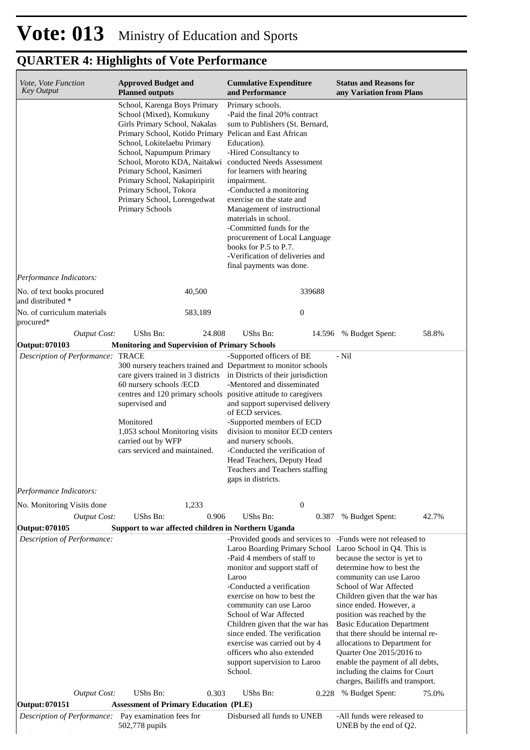| Vote, Vote Function<br><b>Key Output</b>            | <b>Approved Budget and</b><br><b>Planned outputs</b>                                                                                                                                                                                                                                                                                                                                                                | <b>Cumulative Expenditure</b><br>and Performance                                                                                                                                                                                                                                                                                                                                                                                                                                                | <b>Status and Reasons for</b><br>any Variation from Plans                                                                                                                                                                                                                                                                                                                                                                                                    |
|-----------------------------------------------------|---------------------------------------------------------------------------------------------------------------------------------------------------------------------------------------------------------------------------------------------------------------------------------------------------------------------------------------------------------------------------------------------------------------------|-------------------------------------------------------------------------------------------------------------------------------------------------------------------------------------------------------------------------------------------------------------------------------------------------------------------------------------------------------------------------------------------------------------------------------------------------------------------------------------------------|--------------------------------------------------------------------------------------------------------------------------------------------------------------------------------------------------------------------------------------------------------------------------------------------------------------------------------------------------------------------------------------------------------------------------------------------------------------|
|                                                     | School, Karenga Boys Primary<br>School (Mixed), Komukuny<br>Girls Primary School, Nakalas<br>Primary School, Kotido Primary Pelican and East African<br>School, Lokitelaebu Primary<br>School, Napumpum Primary<br>School, Moroto KDA, Naitakwi conducted Needs Assessment<br>Primary School, Kasimeri<br>Primary School, Nakapiripirit<br>Primary School, Tokora<br>Primary School, Lorengedwat<br>Primary Schools | Primary schools.<br>-Paid the final 20% contract<br>sum to Publishers (St. Bernard,<br>Education).<br>-Hired Consultancy to<br>for learners with hearing<br>impairment.<br>-Conducted a monitoring<br>exercise on the state and<br>Management of instructional<br>materials in school.<br>-Committed funds for the<br>procurement of Local Language<br>books for P.5 to P.7.<br>-Verification of deliveries and<br>final payments was done.                                                     |                                                                                                                                                                                                                                                                                                                                                                                                                                                              |
| Performance Indicators:                             |                                                                                                                                                                                                                                                                                                                                                                                                                     |                                                                                                                                                                                                                                                                                                                                                                                                                                                                                                 |                                                                                                                                                                                                                                                                                                                                                                                                                                                              |
| No. of text books procured<br>and distributed *     | 40,500                                                                                                                                                                                                                                                                                                                                                                                                              | 339688                                                                                                                                                                                                                                                                                                                                                                                                                                                                                          |                                                                                                                                                                                                                                                                                                                                                                                                                                                              |
| No. of curriculum materials<br>procured*            | 583,189                                                                                                                                                                                                                                                                                                                                                                                                             | $\mathbf{0}$                                                                                                                                                                                                                                                                                                                                                                                                                                                                                    |                                                                                                                                                                                                                                                                                                                                                                                                                                                              |
| <b>Output Cost:</b>                                 | UShs Bn:<br>24.808                                                                                                                                                                                                                                                                                                                                                                                                  | UShs Bn:<br>14.596                                                                                                                                                                                                                                                                                                                                                                                                                                                                              | 58.8%<br>% Budget Spent:                                                                                                                                                                                                                                                                                                                                                                                                                                     |
| Output: 070103<br>Description of Performance: TRACE | <b>Monitoring and Supervision of Primary Schools</b>                                                                                                                                                                                                                                                                                                                                                                | -Supported officers of BE                                                                                                                                                                                                                                                                                                                                                                                                                                                                       | - Nil                                                                                                                                                                                                                                                                                                                                                                                                                                                        |
|                                                     | 300 nursery teachers trained and Department to monitor schools<br>care givers trained in 3 districts<br>60 nursery schools /ECD<br>centres and 120 primary schools<br>supervised and<br>Monitored<br>1,053 school Monitoring visits<br>carried out by WFP<br>cars serviced and maintained.                                                                                                                          | in Districts of their jurisdiction<br>-Mentored and disseminated<br>positive attitude to caregivers<br>and support supervised delivery<br>of ECD services.<br>-Supported members of ECD<br>division to monitor ECD centers<br>and nursery schools.<br>-Conducted the verification of<br>Head Teachers, Deputy Head<br>Teachers and Teachers staffing<br>gaps in districts.                                                                                                                      |                                                                                                                                                                                                                                                                                                                                                                                                                                                              |
| Performance Indicators:                             |                                                                                                                                                                                                                                                                                                                                                                                                                     |                                                                                                                                                                                                                                                                                                                                                                                                                                                                                                 |                                                                                                                                                                                                                                                                                                                                                                                                                                                              |
| No. Monitoring Visits done                          | 1,233                                                                                                                                                                                                                                                                                                                                                                                                               | $\boldsymbol{0}$                                                                                                                                                                                                                                                                                                                                                                                                                                                                                |                                                                                                                                                                                                                                                                                                                                                                                                                                                              |
| <b>Output Cost:</b>                                 | UShs Bn:<br>0.906                                                                                                                                                                                                                                                                                                                                                                                                   | UShs Bn:<br>0.387                                                                                                                                                                                                                                                                                                                                                                                                                                                                               | 42.7%<br>% Budget Spent:                                                                                                                                                                                                                                                                                                                                                                                                                                     |
| Output: 070105<br>Description of Performance:       | Support to war affected children in Northern Uganda                                                                                                                                                                                                                                                                                                                                                                 | -Provided goods and services to -Funds were not released to<br>Laroo Boarding Primary School Laroo School in Q4. This is<br>-Paid 4 members of staff to<br>monitor and support staff of<br>Laroo<br>-Conducted a verification<br>exercise on how to best the<br>community can use Laroo<br>School of War Affected<br>Children given that the war has<br>since ended. The verification<br>exercise was carried out by 4<br>officers who also extended<br>support supervision to Laroo<br>School. | because the sector is yet to<br>determine how to best the<br>community can use Laroo<br>School of War Affected<br>Children given that the war has<br>since ended. However, a<br>position was reached by the<br><b>Basic Education Department</b><br>that there should be internal re-<br>allocations to Department for<br>Quarter One 2015/2016 to<br>enable the payment of all debts,<br>including the claims for Court<br>charges, Bailiffs and transport. |
| <b>Output Cost:</b>                                 | UShs Bn:<br>0.303                                                                                                                                                                                                                                                                                                                                                                                                   | UShs Bn:<br>0.228                                                                                                                                                                                                                                                                                                                                                                                                                                                                               | % Budget Spent:<br>75.0%                                                                                                                                                                                                                                                                                                                                                                                                                                     |
| Output: 070151<br>Description of Performance:       | <b>Assessment of Primary Education (PLE)</b><br>Pay examination fees for<br>502,778 pupils                                                                                                                                                                                                                                                                                                                          | Disbursed all funds to UNEB                                                                                                                                                                                                                                                                                                                                                                                                                                                                     | -All funds were released to<br>UNEB by the end of Q2.                                                                                                                                                                                                                                                                                                                                                                                                        |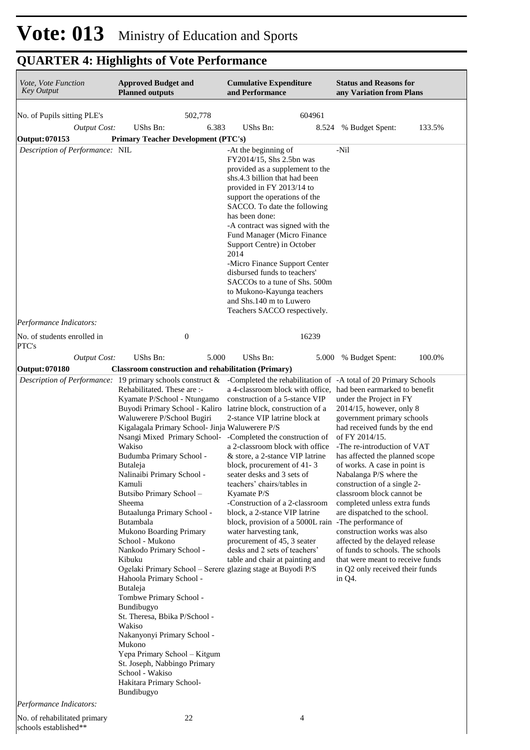# **Vote: 013** Ministry of Education and Sports

## **QUARTER 4: Highlights of Vote Performance**

| Vote, Vote Function<br><b>Key Output</b> | <b>Approved Budget and</b><br><b>Planned outputs</b>                                                                                                                                                                                                                                                                                                                                                                                                                                                                                                                                                                                                                                                                                                                                                                                                                                                                                                | <b>Cumulative Expenditure</b><br>and Performance                                                                                                                                                                                                                                                                                                                                                                                                                                                                                                                                                                                                                              | <b>Status and Reasons for</b><br>any Variation from Plans                                                                                                                                                                                                                                                                                                                                                                                                                                                                                                                                  |
|------------------------------------------|-----------------------------------------------------------------------------------------------------------------------------------------------------------------------------------------------------------------------------------------------------------------------------------------------------------------------------------------------------------------------------------------------------------------------------------------------------------------------------------------------------------------------------------------------------------------------------------------------------------------------------------------------------------------------------------------------------------------------------------------------------------------------------------------------------------------------------------------------------------------------------------------------------------------------------------------------------|-------------------------------------------------------------------------------------------------------------------------------------------------------------------------------------------------------------------------------------------------------------------------------------------------------------------------------------------------------------------------------------------------------------------------------------------------------------------------------------------------------------------------------------------------------------------------------------------------------------------------------------------------------------------------------|--------------------------------------------------------------------------------------------------------------------------------------------------------------------------------------------------------------------------------------------------------------------------------------------------------------------------------------------------------------------------------------------------------------------------------------------------------------------------------------------------------------------------------------------------------------------------------------------|
| No. of Pupils sitting PLE's              | 502,778                                                                                                                                                                                                                                                                                                                                                                                                                                                                                                                                                                                                                                                                                                                                                                                                                                                                                                                                             | 604961                                                                                                                                                                                                                                                                                                                                                                                                                                                                                                                                                                                                                                                                        |                                                                                                                                                                                                                                                                                                                                                                                                                                                                                                                                                                                            |
| <b>Output Cost:</b>                      | UShs Bn:<br>6.383                                                                                                                                                                                                                                                                                                                                                                                                                                                                                                                                                                                                                                                                                                                                                                                                                                                                                                                                   | UShs Bn:<br>8.524                                                                                                                                                                                                                                                                                                                                                                                                                                                                                                                                                                                                                                                             | % Budget Spent:<br>133.5%                                                                                                                                                                                                                                                                                                                                                                                                                                                                                                                                                                  |
| <b>Output: 070153</b>                    | <b>Primary Teacher Development (PTC's)</b>                                                                                                                                                                                                                                                                                                                                                                                                                                                                                                                                                                                                                                                                                                                                                                                                                                                                                                          |                                                                                                                                                                                                                                                                                                                                                                                                                                                                                                                                                                                                                                                                               |                                                                                                                                                                                                                                                                                                                                                                                                                                                                                                                                                                                            |
| Description of Performance: NIL          |                                                                                                                                                                                                                                                                                                                                                                                                                                                                                                                                                                                                                                                                                                                                                                                                                                                                                                                                                     | -At the beginning of<br>FY2014/15, Shs 2.5bn was<br>provided as a supplement to the<br>shs.4.3 billion that had been<br>provided in FY 2013/14 to<br>support the operations of the<br>SACCO. To date the following<br>has been done:<br>-A contract was signed with the<br>Fund Manager (Micro Finance<br>Support Centre) in October<br>2014<br>-Micro Finance Support Center<br>disbursed funds to teachers'<br>SACCOs to a tune of Shs. 500m<br>to Mukono-Kayunga teachers<br>and Shs.140 m to Luwero<br>Teachers SACCO respectively.                                                                                                                                       | -Nil                                                                                                                                                                                                                                                                                                                                                                                                                                                                                                                                                                                       |
| Performance Indicators:                  |                                                                                                                                                                                                                                                                                                                                                                                                                                                                                                                                                                                                                                                                                                                                                                                                                                                                                                                                                     |                                                                                                                                                                                                                                                                                                                                                                                                                                                                                                                                                                                                                                                                               |                                                                                                                                                                                                                                                                                                                                                                                                                                                                                                                                                                                            |
| No. of students enrolled in<br>PTC's     | $\boldsymbol{0}$                                                                                                                                                                                                                                                                                                                                                                                                                                                                                                                                                                                                                                                                                                                                                                                                                                                                                                                                    | 16239                                                                                                                                                                                                                                                                                                                                                                                                                                                                                                                                                                                                                                                                         |                                                                                                                                                                                                                                                                                                                                                                                                                                                                                                                                                                                            |
| <b>Output Cost:</b>                      | UShs Bn:<br>5.000                                                                                                                                                                                                                                                                                                                                                                                                                                                                                                                                                                                                                                                                                                                                                                                                                                                                                                                                   | UShs Bn:<br>5.000                                                                                                                                                                                                                                                                                                                                                                                                                                                                                                                                                                                                                                                             | 100.0%<br>% Budget Spent:                                                                                                                                                                                                                                                                                                                                                                                                                                                                                                                                                                  |
| <b>Output: 070180</b>                    | <b>Classroom construction and rehabilitation (Primary)</b>                                                                                                                                                                                                                                                                                                                                                                                                                                                                                                                                                                                                                                                                                                                                                                                                                                                                                          |                                                                                                                                                                                                                                                                                                                                                                                                                                                                                                                                                                                                                                                                               |                                                                                                                                                                                                                                                                                                                                                                                                                                                                                                                                                                                            |
|                                          | <i>Description of Performance:</i> 19 primary schools construct &<br>Rehabilitated. These are :-<br>Kyamate P/School - Ntungamo<br>Buyodi Primary School - Kaliro latrine block, construction of a<br>Waluwerere P/School Bugiri<br>Kigalagala Primary School- Jinja Waluwerere P/S<br>Nsangi Mixed Primary School-<br>Wakiso<br>Budumba Primary School -<br>Butaleja<br>Nalinaibi Primary School -<br>Kamuli<br>Butsibo Primary School-<br>Sheema<br>Butaalunga Primary School -<br>Butambala<br>Mukono Boarding Primary<br>School - Mukono<br>Nankodo Primary School -<br>Kibuku<br>Ogelaki Primary School - Serere glazing stage at Buyodi P/S<br>Hahoola Primary School -<br>Butaleja<br>Tombwe Primary School -<br>Bundibugyo<br>St. Theresa, Bbika P/School -<br>Wakiso<br>Nakanyonyi Primary School -<br>Mukono<br>Yepa Primary School - Kitgum<br>St. Joseph, Nabbingo Primary<br>School - Wakiso<br>Hakitara Primary School-<br>Bundibugyo | -Completed the rehabilitation of -A total of 20 Primary Schools<br>a 4-classroom block with office, had been earmarked to benefit<br>construction of a 5-stance VIP<br>2-stance VIP latrine block at<br>-Completed the construction of<br>a 2-classroom block with office<br>& store, a 2-stance VIP latrine<br>block, procurement of 41-3<br>seater desks and 3 sets of<br>teachers' chairs/tables in<br>Kyamate P/S<br>-Construction of a 2-classroom<br>block, a 2-stance VIP latrine<br>block, provision of a 5000L rain -The performance of<br>water harvesting tank,<br>procurement of 45, 3 seater<br>desks and 2 sets of teachers'<br>table and chair at painting and | under the Project in FY<br>$2014/15$ , however, only 8<br>government primary schools<br>had received funds by the end<br>of FY 2014/15.<br>-The re-introduction of VAT<br>has affected the planned scope<br>of works. A case in point is<br>Nabalanga P/S where the<br>construction of a single 2-<br>classroom block cannot be<br>completed unless extra funds<br>are dispatched to the school.<br>construction works was also<br>affected by the delayed release<br>of funds to schools. The schools<br>that were meant to receive funds<br>in Q2 only received their funds<br>in $Q4$ . |
| Performance Indicators:                  |                                                                                                                                                                                                                                                                                                                                                                                                                                                                                                                                                                                                                                                                                                                                                                                                                                                                                                                                                     |                                                                                                                                                                                                                                                                                                                                                                                                                                                                                                                                                                                                                                                                               |                                                                                                                                                                                                                                                                                                                                                                                                                                                                                                                                                                                            |
| No. of rehabilitated primary             | 22                                                                                                                                                                                                                                                                                                                                                                                                                                                                                                                                                                                                                                                                                                                                                                                                                                                                                                                                                  | 4                                                                                                                                                                                                                                                                                                                                                                                                                                                                                                                                                                                                                                                                             |                                                                                                                                                                                                                                                                                                                                                                                                                                                                                                                                                                                            |

No. of rehabilitated primary schools established\*\*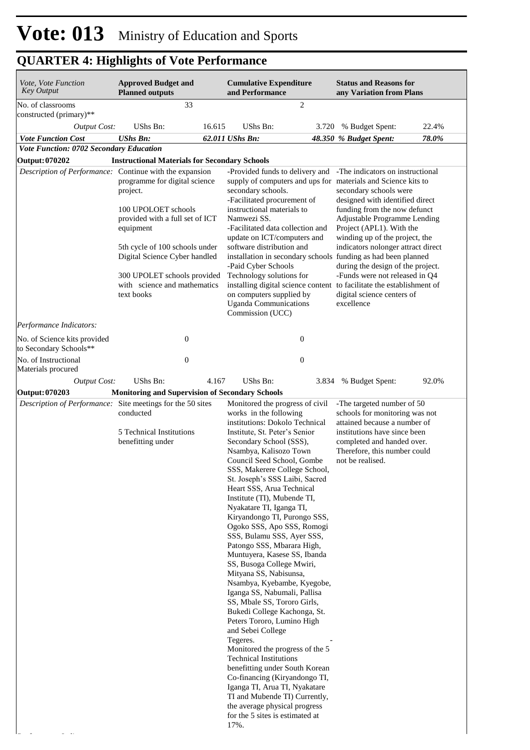| Vote, Vote Function<br><b>Key Output</b>                   | <b>Approved Budget and</b><br><b>Planned outputs</b>                                                                                                                                                                                                             |        | <b>Cumulative Expenditure</b><br>and Performance                                                                                                                                                                                                                                                                                                                                                                                                                                                                                                                                                                                                                                                                                                                                                                                                                                                                                                                                                  |       | <b>Status and Reasons for</b><br>any Variation from Plans                                                                                                                                                                                                                                                                                                                            |       |
|------------------------------------------------------------|------------------------------------------------------------------------------------------------------------------------------------------------------------------------------------------------------------------------------------------------------------------|--------|---------------------------------------------------------------------------------------------------------------------------------------------------------------------------------------------------------------------------------------------------------------------------------------------------------------------------------------------------------------------------------------------------------------------------------------------------------------------------------------------------------------------------------------------------------------------------------------------------------------------------------------------------------------------------------------------------------------------------------------------------------------------------------------------------------------------------------------------------------------------------------------------------------------------------------------------------------------------------------------------------|-------|--------------------------------------------------------------------------------------------------------------------------------------------------------------------------------------------------------------------------------------------------------------------------------------------------------------------------------------------------------------------------------------|-------|
| No. of classrooms<br>constructed (primary)**               | 33                                                                                                                                                                                                                                                               |        | $\mathfrak{2}$                                                                                                                                                                                                                                                                                                                                                                                                                                                                                                                                                                                                                                                                                                                                                                                                                                                                                                                                                                                    |       |                                                                                                                                                                                                                                                                                                                                                                                      |       |
| <b>Output Cost:</b>                                        | UShs Bn:                                                                                                                                                                                                                                                         | 16.615 | <b>UShs Bn:</b>                                                                                                                                                                                                                                                                                                                                                                                                                                                                                                                                                                                                                                                                                                                                                                                                                                                                                                                                                                                   |       | 3.720 % Budget Spent:                                                                                                                                                                                                                                                                                                                                                                | 22.4% |
| <b>Vote Function Cost</b>                                  | <b>UShs Bn:</b>                                                                                                                                                                                                                                                  |        | 62.011 UShs Bn:                                                                                                                                                                                                                                                                                                                                                                                                                                                                                                                                                                                                                                                                                                                                                                                                                                                                                                                                                                                   |       | 48.350 % Budget Spent:                                                                                                                                                                                                                                                                                                                                                               | 78.0% |
| Vote Function: 0702 Secondary Education                    |                                                                                                                                                                                                                                                                  |        |                                                                                                                                                                                                                                                                                                                                                                                                                                                                                                                                                                                                                                                                                                                                                                                                                                                                                                                                                                                                   |       |                                                                                                                                                                                                                                                                                                                                                                                      |       |
| <b>Output: 070202</b>                                      | <b>Instructional Materials for Secondary Schools</b>                                                                                                                                                                                                             |        |                                                                                                                                                                                                                                                                                                                                                                                                                                                                                                                                                                                                                                                                                                                                                                                                                                                                                                                                                                                                   |       |                                                                                                                                                                                                                                                                                                                                                                                      |       |
| Description of Performance: Continue with the expansion    | programme for digital science<br>project.<br>100 UPOLOET schools<br>provided with a full set of ICT<br>equipment<br>5th cycle of 100 schools under<br>Digital Science Cyber handled<br>300 UPOLET schools provided<br>with science and mathematics<br>text books |        | -Provided funds to delivery and<br>supply of computers and ups for materials and Science kits to<br>secondary schools.<br>-Facilitated procurement of<br>instructional materials to<br>Namwezi SS.<br>-Facilitated data collection and<br>update on ICT/computers and<br>software distribution and<br>installation in secondary schools funding as had been planned<br>-Paid Cyber Schools<br>Technology solutions for<br>installing digital science content to facilitate the establishment of<br>on computers supplied by<br><b>Uganda Communications</b><br>Commission (UCC)                                                                                                                                                                                                                                                                                                                                                                                                                   |       | -The indicators on instructional<br>secondary schools were<br>designed with identified direct<br>funding from the now defunct<br>Adjustable Programme Lending<br>Project (APL1). With the<br>winding up of the project, the<br>indicators nolonger attract direct<br>during the design of the project.<br>-Funds were not released in Q4<br>digital science centers of<br>excellence |       |
| Performance Indicators:                                    |                                                                                                                                                                                                                                                                  |        |                                                                                                                                                                                                                                                                                                                                                                                                                                                                                                                                                                                                                                                                                                                                                                                                                                                                                                                                                                                                   |       |                                                                                                                                                                                                                                                                                                                                                                                      |       |
|                                                            |                                                                                                                                                                                                                                                                  |        |                                                                                                                                                                                                                                                                                                                                                                                                                                                                                                                                                                                                                                                                                                                                                                                                                                                                                                                                                                                                   |       |                                                                                                                                                                                                                                                                                                                                                                                      |       |
| No. of Science kits provided<br>to Secondary Schools**     | $\boldsymbol{0}$                                                                                                                                                                                                                                                 |        | $\boldsymbol{0}$                                                                                                                                                                                                                                                                                                                                                                                                                                                                                                                                                                                                                                                                                                                                                                                                                                                                                                                                                                                  |       |                                                                                                                                                                                                                                                                                                                                                                                      |       |
| No. of Instructional                                       | $\boldsymbol{0}$                                                                                                                                                                                                                                                 |        | $\boldsymbol{0}$                                                                                                                                                                                                                                                                                                                                                                                                                                                                                                                                                                                                                                                                                                                                                                                                                                                                                                                                                                                  |       |                                                                                                                                                                                                                                                                                                                                                                                      |       |
| Materials procured                                         |                                                                                                                                                                                                                                                                  |        |                                                                                                                                                                                                                                                                                                                                                                                                                                                                                                                                                                                                                                                                                                                                                                                                                                                                                                                                                                                                   |       |                                                                                                                                                                                                                                                                                                                                                                                      |       |
| <b>Output Cost:</b>                                        | UShs Bn:                                                                                                                                                                                                                                                         | 4.167  | <b>UShs Bn:</b>                                                                                                                                                                                                                                                                                                                                                                                                                                                                                                                                                                                                                                                                                                                                                                                                                                                                                                                                                                                   | 3.834 | % Budget Spent:                                                                                                                                                                                                                                                                                                                                                                      | 92.0% |
| Output: 070203                                             | <b>Monitoring and Supervision of Secondary Schools</b>                                                                                                                                                                                                           |        |                                                                                                                                                                                                                                                                                                                                                                                                                                                                                                                                                                                                                                                                                                                                                                                                                                                                                                                                                                                                   |       |                                                                                                                                                                                                                                                                                                                                                                                      |       |
| Description of Performance: Site meetings for the 50 sites | conducted<br>5 Technical Institutions<br>benefitting under                                                                                                                                                                                                       |        | Monitored the progress of civil<br>works in the following<br>institutions: Dokolo Technical<br>Institute, St. Peter's Senior<br>Secondary School (SSS),<br>Nsambya, Kalisozo Town<br>Council Seed School, Gombe<br>SSS, Makerere College School,<br>St. Joseph's SSS Laibi, Sacred<br>Heart SSS, Arua Technical<br>Institute (TI), Mubende TI,<br>Nyakatare TI, Iganga TI,<br>Kiryandongo TI, Purongo SSS,<br>Ogoko SSS, Apo SSS, Romogi<br>SSS, Bulamu SSS, Ayer SSS,<br>Patongo SSS, Mbarara High,<br>Muntuyera, Kasese SS, Ibanda<br>SS, Busoga College Mwiri,<br>Mityana SS, Nabisunsa,<br>Nsambya, Kyebambe, Kyegobe,<br>Iganga SS, Nabumali, Pallisa<br>SS, Mbale SS, Tororo Girls,<br>Bukedi College Kachonga, St.<br>Peters Tororo, Lumino High<br>and Sebei College<br>Tegeres.<br>Monitored the progress of the 5<br><b>Technical Institutions</b><br>benefitting under South Korean<br>Co-financing (Kiryandongo TI,<br>Iganga TI, Arua TI, Nyakatare<br>TI and Mubende TI) Currently, |       | -The targeted number of 50<br>schools for monitoring was not<br>attained because a number of<br>institutions have since been<br>completed and handed over.<br>Therefore, this number could<br>not be realised.                                                                                                                                                                       |       |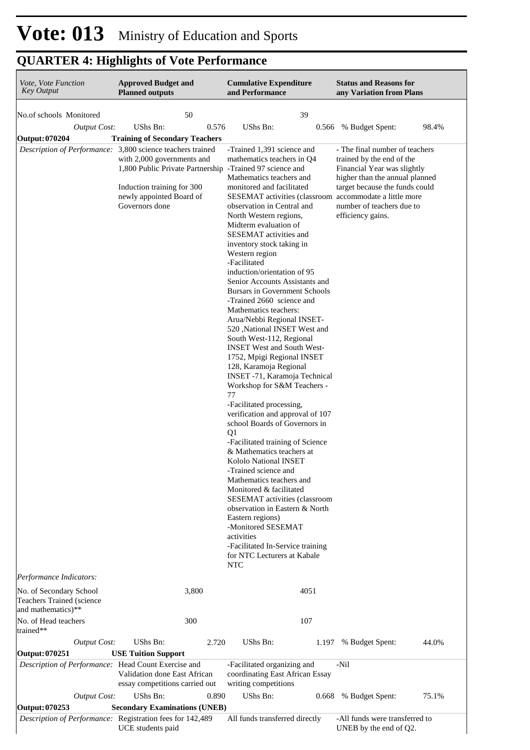| Vote, Vote Function<br><b>Key Output</b>                  | <b>Approved Budget and</b><br><b>Planned outputs</b>                                                                                                                                                                             | <b>Cumulative Expenditure</b><br>and Performance                                                                                                                                                                                                                                                                                                                                                                                                                                                                                                                                                                                                                                                                                                                                                                                                                                                                                                                                                                                                                                                                                                                                                                                                                                           | <b>Status and Reasons for</b><br>any Variation from Plans                                                                                                                                                        |
|-----------------------------------------------------------|----------------------------------------------------------------------------------------------------------------------------------------------------------------------------------------------------------------------------------|--------------------------------------------------------------------------------------------------------------------------------------------------------------------------------------------------------------------------------------------------------------------------------------------------------------------------------------------------------------------------------------------------------------------------------------------------------------------------------------------------------------------------------------------------------------------------------------------------------------------------------------------------------------------------------------------------------------------------------------------------------------------------------------------------------------------------------------------------------------------------------------------------------------------------------------------------------------------------------------------------------------------------------------------------------------------------------------------------------------------------------------------------------------------------------------------------------------------------------------------------------------------------------------------|------------------------------------------------------------------------------------------------------------------------------------------------------------------------------------------------------------------|
| No.of schools Monitored                                   | 50                                                                                                                                                                                                                               | 39                                                                                                                                                                                                                                                                                                                                                                                                                                                                                                                                                                                                                                                                                                                                                                                                                                                                                                                                                                                                                                                                                                                                                                                                                                                                                         |                                                                                                                                                                                                                  |
| <b>Output Cost:</b>                                       | UShs Bn:<br>0.576                                                                                                                                                                                                                | UShs Bn:<br>0.566                                                                                                                                                                                                                                                                                                                                                                                                                                                                                                                                                                                                                                                                                                                                                                                                                                                                                                                                                                                                                                                                                                                                                                                                                                                                          | 98.4%<br>% Budget Spent:                                                                                                                                                                                         |
| <b>Output: 070204</b>                                     | <b>Training of Secondary Teachers</b>                                                                                                                                                                                            |                                                                                                                                                                                                                                                                                                                                                                                                                                                                                                                                                                                                                                                                                                                                                                                                                                                                                                                                                                                                                                                                                                                                                                                                                                                                                            |                                                                                                                                                                                                                  |
| Performance Indicators:                                   | Description of Performance: 3,800 science teachers trained<br>with 2,000 governments and<br>1,800 Public Private Partnership -Trained 97 science and<br>Induction training for 300<br>newly appointed Board of<br>Governors done | -Trained 1,391 science and<br>mathematics teachers in Q4<br>Mathematics teachers and<br>monitored and facilitated<br>SESEMAT activities (classroom accommodate a little more<br>observation in Central and<br>North Western regions,<br>Midterm evaluation of<br>SESEMAT activities and<br>inventory stock taking in<br>Western region<br>-Facilitated<br>induction/orientation of 95<br>Senior Accounts Assistants and<br>Bursars in Government Schools<br>-Trained 2660 science and<br>Mathematics teachers:<br>Arua/Nebbi Regional INSET-<br>520 ,National INSET West and<br>South West-112, Regional<br><b>INSET West and South West-</b><br>1752, Mpigi Regional INSET<br>128, Karamoja Regional<br>INSET -71, Karamoja Technical<br>Workshop for S&M Teachers -<br>77<br>-Facilitated processing,<br>verification and approval of 107<br>school Boards of Governors in<br>Q <sub>1</sub><br>-Facilitated training of Science<br>& Mathematics teachers at<br>Kololo National INSET<br>-Trained science and<br>Mathematics teachers and<br>Monitored & facilitated<br><b>SESEMAT</b> activities (classroom<br>observation in Eastern & North<br>Eastern regions)<br>-Monitored SESEMAT<br>activities<br>-Facilitated In-Service training<br>for NTC Lecturers at Kabale<br><b>NTC</b> | - The final number of teachers<br>trained by the end of the<br>Financial Year was slightly<br>higher than the annual planned<br>target because the funds could<br>number of teachers due to<br>efficiency gains. |
| No. of Secondary School                                   | 3,800                                                                                                                                                                                                                            | 4051                                                                                                                                                                                                                                                                                                                                                                                                                                                                                                                                                                                                                                                                                                                                                                                                                                                                                                                                                                                                                                                                                                                                                                                                                                                                                       |                                                                                                                                                                                                                  |
| Teachers Trained (science<br>and mathematics)**           |                                                                                                                                                                                                                                  |                                                                                                                                                                                                                                                                                                                                                                                                                                                                                                                                                                                                                                                                                                                                                                                                                                                                                                                                                                                                                                                                                                                                                                                                                                                                                            |                                                                                                                                                                                                                  |
| No. of Head teachers<br>trained**                         | 300                                                                                                                                                                                                                              | 107                                                                                                                                                                                                                                                                                                                                                                                                                                                                                                                                                                                                                                                                                                                                                                                                                                                                                                                                                                                                                                                                                                                                                                                                                                                                                        |                                                                                                                                                                                                                  |
| <b>Output Cost:</b>                                       | UShs Bn:<br>2.720                                                                                                                                                                                                                | UShs Bn:                                                                                                                                                                                                                                                                                                                                                                                                                                                                                                                                                                                                                                                                                                                                                                                                                                                                                                                                                                                                                                                                                                                                                                                                                                                                                   | 1.197 % Budget Spent:<br>44.0%                                                                                                                                                                                   |
| Output: 070251                                            | <b>USE Tuition Support</b>                                                                                                                                                                                                       |                                                                                                                                                                                                                                                                                                                                                                                                                                                                                                                                                                                                                                                                                                                                                                                                                                                                                                                                                                                                                                                                                                                                                                                                                                                                                            |                                                                                                                                                                                                                  |
| Description of Performance: Head Count Exercise and       | Validation done East African<br>essay competitions carried out                                                                                                                                                                   | -Facilitated organizing and<br>coordinating East African Essay<br>writing competitions                                                                                                                                                                                                                                                                                                                                                                                                                                                                                                                                                                                                                                                                                                                                                                                                                                                                                                                                                                                                                                                                                                                                                                                                     | -Nil                                                                                                                                                                                                             |
| <b>Output Cost:</b>                                       | UShs Bn:<br>0.890                                                                                                                                                                                                                | UShs Bn:<br>0.668                                                                                                                                                                                                                                                                                                                                                                                                                                                                                                                                                                                                                                                                                                                                                                                                                                                                                                                                                                                                                                                                                                                                                                                                                                                                          | 75.1%<br>% Budget Spent:                                                                                                                                                                                         |
| Output: 070253                                            | <b>Secondary Examinations (UNEB)</b>                                                                                                                                                                                             |                                                                                                                                                                                                                                                                                                                                                                                                                                                                                                                                                                                                                                                                                                                                                                                                                                                                                                                                                                                                                                                                                                                                                                                                                                                                                            |                                                                                                                                                                                                                  |
| Description of Performance: Registration fees for 142,489 | UCE students paid                                                                                                                                                                                                                | All funds transferred directly                                                                                                                                                                                                                                                                                                                                                                                                                                                                                                                                                                                                                                                                                                                                                                                                                                                                                                                                                                                                                                                                                                                                                                                                                                                             | -All funds were transferred to<br>UNEB by the end of Q2.                                                                                                                                                         |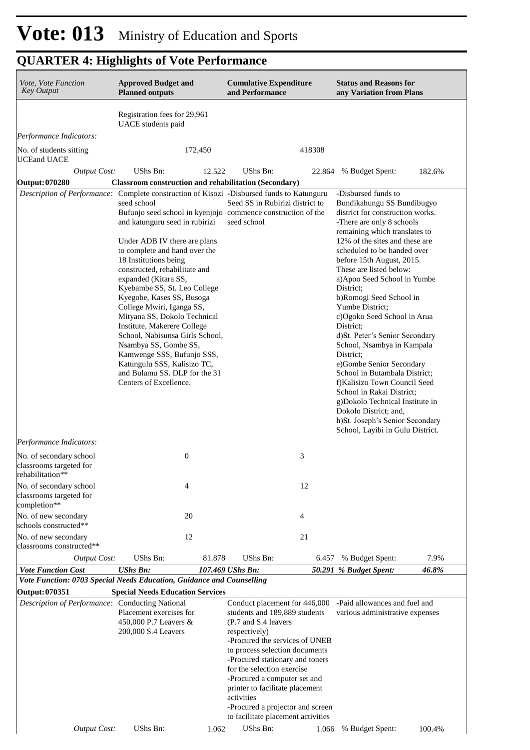| Vote, Vote Function<br><b>Key Output</b>                                                           | <b>Approved Budget and</b><br><b>Planned outputs</b>                                                                                                                                                                                                                                                                                                                                                                                                                                                                                                                                                          |         | <b>Cumulative Expenditure</b><br>and Performance                                                                                                                                                                                                                                                                                                                                                         |        | <b>Status and Reasons for</b><br>any Variation from Plans                                                                                                                                                                                                                                                                                                                                                                                                                                                                                                                                                                                                                                                                              |        |  |
|----------------------------------------------------------------------------------------------------|---------------------------------------------------------------------------------------------------------------------------------------------------------------------------------------------------------------------------------------------------------------------------------------------------------------------------------------------------------------------------------------------------------------------------------------------------------------------------------------------------------------------------------------------------------------------------------------------------------------|---------|----------------------------------------------------------------------------------------------------------------------------------------------------------------------------------------------------------------------------------------------------------------------------------------------------------------------------------------------------------------------------------------------------------|--------|----------------------------------------------------------------------------------------------------------------------------------------------------------------------------------------------------------------------------------------------------------------------------------------------------------------------------------------------------------------------------------------------------------------------------------------------------------------------------------------------------------------------------------------------------------------------------------------------------------------------------------------------------------------------------------------------------------------------------------------|--------|--|
|                                                                                                    | Registration fees for 29,961<br>UACE students paid                                                                                                                                                                                                                                                                                                                                                                                                                                                                                                                                                            |         |                                                                                                                                                                                                                                                                                                                                                                                                          |        |                                                                                                                                                                                                                                                                                                                                                                                                                                                                                                                                                                                                                                                                                                                                        |        |  |
| Performance Indicators:                                                                            |                                                                                                                                                                                                                                                                                                                                                                                                                                                                                                                                                                                                               |         |                                                                                                                                                                                                                                                                                                                                                                                                          |        |                                                                                                                                                                                                                                                                                                                                                                                                                                                                                                                                                                                                                                                                                                                                        |        |  |
| No. of students sitting<br><b>UCEand UACE</b>                                                      |                                                                                                                                                                                                                                                                                                                                                                                                                                                                                                                                                                                                               | 172,450 |                                                                                                                                                                                                                                                                                                                                                                                                          | 418308 |                                                                                                                                                                                                                                                                                                                                                                                                                                                                                                                                                                                                                                                                                                                                        |        |  |
| <b>Output Cost:</b><br><b>Output: 070280</b>                                                       | UShs Bn:<br><b>Classroom construction and rehabilitation (Secondary)</b>                                                                                                                                                                                                                                                                                                                                                                                                                                                                                                                                      | 12.522  | <b>UShs Bn:</b>                                                                                                                                                                                                                                                                                                                                                                                          | 22.864 | % Budget Spent:                                                                                                                                                                                                                                                                                                                                                                                                                                                                                                                                                                                                                                                                                                                        | 182.6% |  |
| Description of Performance: Complete construction of Kisozi -Disbursed funds to Katunguru          |                                                                                                                                                                                                                                                                                                                                                                                                                                                                                                                                                                                                               |         |                                                                                                                                                                                                                                                                                                                                                                                                          |        | -Disbursed funds to                                                                                                                                                                                                                                                                                                                                                                                                                                                                                                                                                                                                                                                                                                                    |        |  |
|                                                                                                    | seed school<br>Bufunjo seed school in kyenjojo commence construction of the<br>and katunguru seed in rubirizi<br>Under ADB IV there are plans<br>to complete and hand over the<br>18 Institutions being<br>constructed, rehabilitate and<br>expanded (Kitara SS,<br>Kyebambe SS, St. Leo College<br>Kyegobe, Kases SS, Busoga<br>College Mwiri, Iganga SS,<br>Mityana SS, Dokolo Technical<br>Institute, Makerere College<br>School, Nabisunsa Girls School,<br>Nsambya SS, Gombe SS,<br>Kamwenge SSS, Bufunjo SSS,<br>Katungulu SSS, Kalisizo TC,<br>and Bulamu SS. DLP for the 31<br>Centers of Excellence. |         | Seed SS in Rubirizi district to<br>seed school                                                                                                                                                                                                                                                                                                                                                           |        | Bundikahungu SS Bundibugyo<br>district for construction works.<br>-There are only 8 schools<br>remaining which translates to<br>12% of the sites and these are<br>scheduled to be handed over<br>before 15th August, 2015.<br>These are listed below:<br>a) Apoo Seed School in Yumbe<br>District;<br>b)Romogi Seed School in<br>Yumbe District;<br>c)Ogoko Seed School in Arua<br>District:<br>d)St. Peter's Senior Secondary<br>School, Nsambya in Kampala<br>District;<br>e)Gombe Senior Secondary<br>School in Butambala District;<br>f)Kalisizo Town Council Seed<br>School in Rakai District;<br>g)Dokolo Technical Institute in<br>Dokolo District; and,<br>h)St. Joseph's Senior Secondary<br>School, Layibi in Gulu District. |        |  |
| Performance Indicators:                                                                            |                                                                                                                                                                                                                                                                                                                                                                                                                                                                                                                                                                                                               |         |                                                                                                                                                                                                                                                                                                                                                                                                          |        |                                                                                                                                                                                                                                                                                                                                                                                                                                                                                                                                                                                                                                                                                                                                        |        |  |
| No. of secondary school<br>classrooms targeted for<br>rehabilitation**                             | $\boldsymbol{0}$                                                                                                                                                                                                                                                                                                                                                                                                                                                                                                                                                                                              |         |                                                                                                                                                                                                                                                                                                                                                                                                          | 3      |                                                                                                                                                                                                                                                                                                                                                                                                                                                                                                                                                                                                                                                                                                                                        |        |  |
| No. of secondary school<br>classrooms targeted for<br>completion**                                 | 4                                                                                                                                                                                                                                                                                                                                                                                                                                                                                                                                                                                                             |         |                                                                                                                                                                                                                                                                                                                                                                                                          | 12     |                                                                                                                                                                                                                                                                                                                                                                                                                                                                                                                                                                                                                                                                                                                                        |        |  |
| No. of new secondary<br>schools constructed**                                                      | 20                                                                                                                                                                                                                                                                                                                                                                                                                                                                                                                                                                                                            |         |                                                                                                                                                                                                                                                                                                                                                                                                          | 4      |                                                                                                                                                                                                                                                                                                                                                                                                                                                                                                                                                                                                                                                                                                                                        |        |  |
| No. of new secondary<br>classrooms constructed**                                                   | 12                                                                                                                                                                                                                                                                                                                                                                                                                                                                                                                                                                                                            |         |                                                                                                                                                                                                                                                                                                                                                                                                          | 21     |                                                                                                                                                                                                                                                                                                                                                                                                                                                                                                                                                                                                                                                                                                                                        |        |  |
| <b>Output Cost:</b>                                                                                | UShs Bn:                                                                                                                                                                                                                                                                                                                                                                                                                                                                                                                                                                                                      | 81.878  | UShs Bn:                                                                                                                                                                                                                                                                                                                                                                                                 | 6.457  | % Budget Spent:                                                                                                                                                                                                                                                                                                                                                                                                                                                                                                                                                                                                                                                                                                                        | 7.9%   |  |
| <b>Vote Function Cost</b><br>Vote Function: 0703 Special Needs Education, Guidance and Counselling | <b>UShs Bn:</b>                                                                                                                                                                                                                                                                                                                                                                                                                                                                                                                                                                                               |         | 107.469 UShs Bn:                                                                                                                                                                                                                                                                                                                                                                                         |        | 50.291 % Budget Spent:                                                                                                                                                                                                                                                                                                                                                                                                                                                                                                                                                                                                                                                                                                                 | 46.8%  |  |
| <b>Output: 070351</b>                                                                              | <b>Special Needs Education Services</b>                                                                                                                                                                                                                                                                                                                                                                                                                                                                                                                                                                       |         |                                                                                                                                                                                                                                                                                                                                                                                                          |        |                                                                                                                                                                                                                                                                                                                                                                                                                                                                                                                                                                                                                                                                                                                                        |        |  |
| Description of Performance: Conducting National                                                    | Placement exercises for<br>450,000 P.7 Leavers &<br>200,000 S.4 Leavers                                                                                                                                                                                                                                                                                                                                                                                                                                                                                                                                       |         | Conduct placement for 446,000<br>students and 189,889 students<br>(P.7 and S.4 leavers)<br>respectively)<br>-Procured the services of UNEB<br>to process selection documents<br>-Procured stationary and toners<br>for the selection exercise<br>-Procured a computer set and<br>printer to facilitate placement<br>activities<br>-Procured a projector and screen<br>to facilitate placement activities |        | -Paid allowances and fuel and<br>various administrative expenses                                                                                                                                                                                                                                                                                                                                                                                                                                                                                                                                                                                                                                                                       |        |  |
| <b>Output Cost:</b>                                                                                | UShs Bn:                                                                                                                                                                                                                                                                                                                                                                                                                                                                                                                                                                                                      | 1.062   | UShs Bn:                                                                                                                                                                                                                                                                                                                                                                                                 | 1.066  | % Budget Spent:                                                                                                                                                                                                                                                                                                                                                                                                                                                                                                                                                                                                                                                                                                                        | 100.4% |  |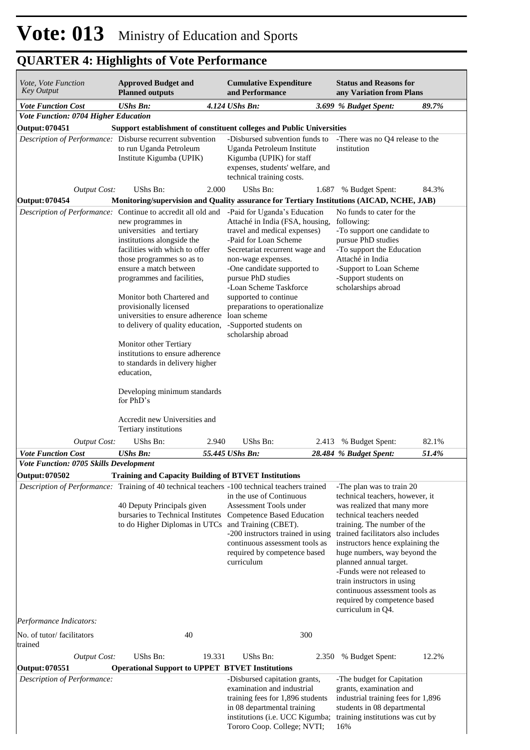| Vote, Vote Function<br><b>Key Output</b>                                                      | <b>Approved Budget and</b><br><b>Planned outputs</b>                                                                                                                                                                                                                                                                                                                                                                                                                                                         |        | <b>Cumulative Expenditure</b><br>and Performance                                                                                                                                                                                                                                                                                                                           |       | <b>Status and Reasons for</b><br>any Variation from Plans                                                                                                                                                                                                                                                                                                                                                                                       |       |
|-----------------------------------------------------------------------------------------------|--------------------------------------------------------------------------------------------------------------------------------------------------------------------------------------------------------------------------------------------------------------------------------------------------------------------------------------------------------------------------------------------------------------------------------------------------------------------------------------------------------------|--------|----------------------------------------------------------------------------------------------------------------------------------------------------------------------------------------------------------------------------------------------------------------------------------------------------------------------------------------------------------------------------|-------|-------------------------------------------------------------------------------------------------------------------------------------------------------------------------------------------------------------------------------------------------------------------------------------------------------------------------------------------------------------------------------------------------------------------------------------------------|-------|
| <b>Vote Function Cost</b>                                                                     | <b>UShs Bn:</b>                                                                                                                                                                                                                                                                                                                                                                                                                                                                                              |        | 4.124 UShs Bn:                                                                                                                                                                                                                                                                                                                                                             |       | 3.699 % Budget Spent:                                                                                                                                                                                                                                                                                                                                                                                                                           | 89.7% |
| Vote Function: 0704 Higher Education                                                          |                                                                                                                                                                                                                                                                                                                                                                                                                                                                                                              |        |                                                                                                                                                                                                                                                                                                                                                                            |       |                                                                                                                                                                                                                                                                                                                                                                                                                                                 |       |
| Output: 070451                                                                                |                                                                                                                                                                                                                                                                                                                                                                                                                                                                                                              |        | Support establishment of constituent colleges and Public Universities                                                                                                                                                                                                                                                                                                      |       |                                                                                                                                                                                                                                                                                                                                                                                                                                                 |       |
| Description of Performance: Disburse recurrent subvention                                     | to run Uganda Petroleum<br>Institute Kigumba (UPIK)                                                                                                                                                                                                                                                                                                                                                                                                                                                          |        | -Disbursed subvention funds to<br>Uganda Petroleum Institute<br>Kigumba (UPIK) for staff<br>expenses, students' welfare, and<br>technical training costs.                                                                                                                                                                                                                  |       | -There was no Q4 release to the<br>institution                                                                                                                                                                                                                                                                                                                                                                                                  |       |
| Output Cost:                                                                                  | UShs Bn:                                                                                                                                                                                                                                                                                                                                                                                                                                                                                                     | 2.000  | UShs Bn:                                                                                                                                                                                                                                                                                                                                                                   | 1.687 | % Budget Spent:                                                                                                                                                                                                                                                                                                                                                                                                                                 | 84.3% |
| Output: 070454                                                                                |                                                                                                                                                                                                                                                                                                                                                                                                                                                                                                              |        | Monitoring/supervision and Quality assurance for Tertiary Institutions (AICAD, NCHE, JAB)                                                                                                                                                                                                                                                                                  |       |                                                                                                                                                                                                                                                                                                                                                                                                                                                 |       |
| Description of Performance: Continue to accredit all old and                                  | new programmes in<br>universities and tertiary<br>institutions alongside the<br>facilities with which to offer<br>those programmes so as to<br>ensure a match between<br>programmes and facilities,<br>Monitor both Chartered and<br>provisionally licensed<br>universities to ensure adherence loan scheme<br>to delivery of quality education,<br>Monitor other Tertiary<br>institutions to ensure adherence<br>to standards in delivery higher<br>education,<br>Developing minimum standards<br>for PhD's |        | -Paid for Uganda's Education<br>Attaché in India (FSA, housing,<br>travel and medical expenses)<br>-Paid for Loan Scheme<br>Secretariat recurrent wage and<br>non-wage expenses.<br>-One candidate supported to<br>pursue PhD studies<br>-Loan Scheme Taskforce<br>supported to continue<br>preparations to operationalize<br>-Supported students on<br>scholarship abroad |       | No funds to cater for the<br>following:<br>-To support one candidate to<br>pursue PhD studies<br>-To support the Education<br>Attaché in India<br>-Support to Loan Scheme<br>-Support students on<br>scholarships abroad                                                                                                                                                                                                                        |       |
|                                                                                               | Accredit new Universities and<br>Tertiary institutions                                                                                                                                                                                                                                                                                                                                                                                                                                                       |        |                                                                                                                                                                                                                                                                                                                                                                            |       |                                                                                                                                                                                                                                                                                                                                                                                                                                                 |       |
| <b>Output Cost:</b>                                                                           | UShs Bn:                                                                                                                                                                                                                                                                                                                                                                                                                                                                                                     | 2.940  | UShs Bn:                                                                                                                                                                                                                                                                                                                                                                   | 2.413 | % Budget Spent:                                                                                                                                                                                                                                                                                                                                                                                                                                 | 82.1% |
| <b>Vote Function Cost</b>                                                                     | <b>UShs Bn:</b>                                                                                                                                                                                                                                                                                                                                                                                                                                                                                              |        | 55.445 UShs Bn:                                                                                                                                                                                                                                                                                                                                                            |       | 28.484 % Budget Spent:                                                                                                                                                                                                                                                                                                                                                                                                                          | 51.4% |
| Vote Function: 0705 Skills Development                                                        |                                                                                                                                                                                                                                                                                                                                                                                                                                                                                                              |        |                                                                                                                                                                                                                                                                                                                                                                            |       |                                                                                                                                                                                                                                                                                                                                                                                                                                                 |       |
| Output: 070502                                                                                |                                                                                                                                                                                                                                                                                                                                                                                                                                                                                                              |        | <b>Training and Capacity Building of BTVET Institutions</b>                                                                                                                                                                                                                                                                                                                |       |                                                                                                                                                                                                                                                                                                                                                                                                                                                 |       |
| Description of Performance: Training of 40 technical teachers -100 technical teachers trained | 40 Deputy Principals given<br>bursaries to Technical Institutes<br>to do Higher Diplomas in UTCs                                                                                                                                                                                                                                                                                                                                                                                                             |        | in the use of Continuous<br>Assessment Tools under<br><b>Competence Based Education</b><br>and Training (CBET).<br>-200 instructors trained in using<br>continuous assessment tools as<br>required by competence based<br>curriculum                                                                                                                                       |       | -The plan was to train 20<br>technical teachers, however, it<br>was realized that many more<br>technical teachers needed<br>training. The number of the<br>trained facilitators also includes<br>instructors hence explaining the<br>huge numbers, way beyond the<br>planned annual target.<br>-Funds were not released to<br>train instructors in using<br>continuous assessment tools as<br>required by competence based<br>curriculum in Q4. |       |
| Performance Indicators:                                                                       |                                                                                                                                                                                                                                                                                                                                                                                                                                                                                                              |        |                                                                                                                                                                                                                                                                                                                                                                            |       |                                                                                                                                                                                                                                                                                                                                                                                                                                                 |       |
| No. of tutor/facilitators<br>trained                                                          | 40                                                                                                                                                                                                                                                                                                                                                                                                                                                                                                           |        |                                                                                                                                                                                                                                                                                                                                                                            | 300   |                                                                                                                                                                                                                                                                                                                                                                                                                                                 |       |
| Output Cost:                                                                                  | UShs Bn:                                                                                                                                                                                                                                                                                                                                                                                                                                                                                                     | 19.331 | UShs Bn:                                                                                                                                                                                                                                                                                                                                                                   | 2.350 | % Budget Spent:                                                                                                                                                                                                                                                                                                                                                                                                                                 | 12.2% |
| Output: 070551<br>Description of Performance:                                                 | <b>Operational Support to UPPET BTVET Institutions</b>                                                                                                                                                                                                                                                                                                                                                                                                                                                       |        | -Disbursed capitation grants,<br>examination and industrial<br>training fees for 1,896 students<br>in 08 departmental training<br>institutions (i.e. UCC Kigumba;<br>Tororo Coop. College; NVTI;                                                                                                                                                                           |       | -The budget for Capitation<br>grants, examination and<br>industrial training fees for 1,896<br>students in 08 departmental<br>training institutions was cut by<br>16%                                                                                                                                                                                                                                                                           |       |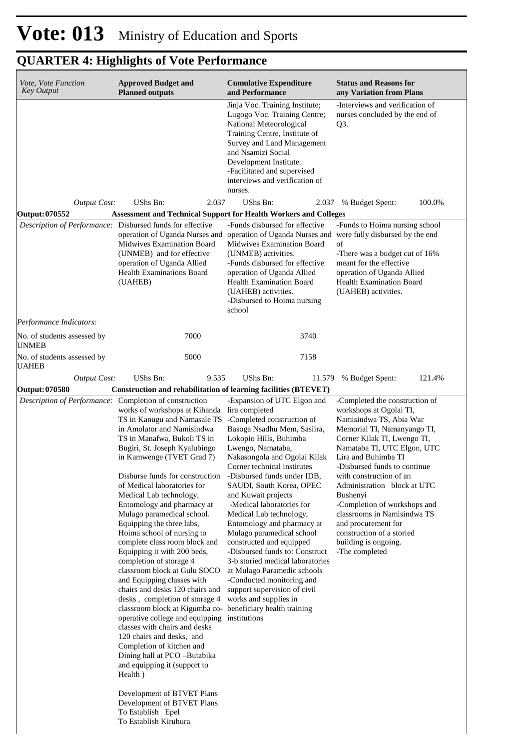| Vote, Vote Function<br><b>Key Output</b>               | <b>Approved Budget and</b><br><b>Planned outputs</b>                                                                                                                                                                                                                                                                                                                                                                                                                                                                                                                                                                                                                                                                                                                                                                                                                                                                                                                                                                                                   | <b>Cumulative Expenditure</b><br>and Performance                                                                                                                                                                                                                                                                                                                                                                                                                                                                                                                                                                                   | <b>Status and Reasons for</b><br>any Variation from Plans                                                                                                                                                                                                                                                                                                                                                                                                                   |  |  |
|--------------------------------------------------------|--------------------------------------------------------------------------------------------------------------------------------------------------------------------------------------------------------------------------------------------------------------------------------------------------------------------------------------------------------------------------------------------------------------------------------------------------------------------------------------------------------------------------------------------------------------------------------------------------------------------------------------------------------------------------------------------------------------------------------------------------------------------------------------------------------------------------------------------------------------------------------------------------------------------------------------------------------------------------------------------------------------------------------------------------------|------------------------------------------------------------------------------------------------------------------------------------------------------------------------------------------------------------------------------------------------------------------------------------------------------------------------------------------------------------------------------------------------------------------------------------------------------------------------------------------------------------------------------------------------------------------------------------------------------------------------------------|-----------------------------------------------------------------------------------------------------------------------------------------------------------------------------------------------------------------------------------------------------------------------------------------------------------------------------------------------------------------------------------------------------------------------------------------------------------------------------|--|--|
|                                                        |                                                                                                                                                                                                                                                                                                                                                                                                                                                                                                                                                                                                                                                                                                                                                                                                                                                                                                                                                                                                                                                        | Jinja Voc. Training Institute;<br>Lugogo Voc. Training Centre;<br>National Meteorological<br>Training Centre, Institute of<br>Survey and Land Management<br>and Nsamizi Social<br>Development Institute.<br>-Facilitated and supervised<br>interviews and verification of<br>nurses.                                                                                                                                                                                                                                                                                                                                               | -Interviews and verification of<br>nurses concluded by the end of<br>Q <sub>3</sub> .                                                                                                                                                                                                                                                                                                                                                                                       |  |  |
| <b>Output Cost:</b><br>Output: 070552                  | UShs Bn:<br>2.037<br>Assessment and Technical Support for Health Workers and Colleges                                                                                                                                                                                                                                                                                                                                                                                                                                                                                                                                                                                                                                                                                                                                                                                                                                                                                                                                                                  | UShs Bn:<br>2.037                                                                                                                                                                                                                                                                                                                                                                                                                                                                                                                                                                                                                  | % Budget Spent:<br>100.0%                                                                                                                                                                                                                                                                                                                                                                                                                                                   |  |  |
|                                                        | Description of Performance: Disbursed funds for effective<br><b>Midwives Examination Board</b><br>(UNMEB) and for effective<br>operation of Uganda Allied<br><b>Health Examinations Board</b><br>(UAHEB)                                                                                                                                                                                                                                                                                                                                                                                                                                                                                                                                                                                                                                                                                                                                                                                                                                               | -Funds disbursed for effective<br>operation of Uganda Nurses and operation of Uganda Nurses and<br><b>Midwives Examination Board</b><br>(UNMEB) activities.<br>-Funds disbursed for effective<br>operation of Uganda Allied<br>Health Examination Board<br>(UAHEB) activities.<br>-Disbursed to Hoima nursing<br>school                                                                                                                                                                                                                                                                                                            | -Funds to Hoima nursing school<br>were fully disbursed by the end<br>of<br>-There was a budget cut of 16%<br>meant for the effective<br>operation of Uganda Allied<br>Health Examination Board<br>(UAHEB) activities.                                                                                                                                                                                                                                                       |  |  |
| Performance Indicators:                                |                                                                                                                                                                                                                                                                                                                                                                                                                                                                                                                                                                                                                                                                                                                                                                                                                                                                                                                                                                                                                                                        |                                                                                                                                                                                                                                                                                                                                                                                                                                                                                                                                                                                                                                    |                                                                                                                                                                                                                                                                                                                                                                                                                                                                             |  |  |
| No. of students assessed by<br><b>UNMEB</b>            | 7000                                                                                                                                                                                                                                                                                                                                                                                                                                                                                                                                                                                                                                                                                                                                                                                                                                                                                                                                                                                                                                                   | 3740                                                                                                                                                                                                                                                                                                                                                                                                                                                                                                                                                                                                                               |                                                                                                                                                                                                                                                                                                                                                                                                                                                                             |  |  |
| No. of students assessed by<br><b>UAHEB</b>            | 5000                                                                                                                                                                                                                                                                                                                                                                                                                                                                                                                                                                                                                                                                                                                                                                                                                                                                                                                                                                                                                                                   | 7158                                                                                                                                                                                                                                                                                                                                                                                                                                                                                                                                                                                                                               |                                                                                                                                                                                                                                                                                                                                                                                                                                                                             |  |  |
| <b>Output Cost:</b><br>Output: 070580                  | UShs Bn:<br>9.535<br>Construction and rehabilitation of learning facilities (BTEVET)                                                                                                                                                                                                                                                                                                                                                                                                                                                                                                                                                                                                                                                                                                                                                                                                                                                                                                                                                                   | UShs Bn:<br>11.579                                                                                                                                                                                                                                                                                                                                                                                                                                                                                                                                                                                                                 | % Budget Spent:<br>121.4%                                                                                                                                                                                                                                                                                                                                                                                                                                                   |  |  |
| Description of Performance: Completion of construction | works of workshops at Kihanda lira completed<br>TS in Kanugu and Namasale TS<br>in Amolator and Namisindwa<br>TS in Manafwa, Bukoli TS in<br>Bugiri, St. Joseph Kyalubingo<br>in Kamwenge (TVET Grad 7)<br>Disburse funds for construction<br>of Medical laboratories for<br>Medical Lab technology,<br>Entomology and pharmacy at<br>Mulago paramedical school.<br>Equipping the three labs,<br>Hoima school of nursing to<br>complete class room block and<br>Equipping it with 200 beds,<br>completion of storage 4<br>classroom block at Gulu SOCO<br>and Equipping classes with<br>chairs and desks 120 chairs and<br>desks, completion of storage 4<br>classroom block at Kigumba co- beneficiary health training<br>operative college and equipping institutions<br>classes with chairs and desks<br>120 chairs and desks, and<br>Completion of kitchen and<br>Dining hall at PCO-Butabika<br>and equipping it (support to<br>Health)<br>Development of BTVET Plans<br>Development of BTVET Plans<br>To Establish Epel<br>To Establish Kiruhura | -Expansion of UTC Elgon and<br>-Completed construction of<br>Basoga Nsadhu Mem, Sasiira,<br>Lokopio Hills, Buhimba<br>Lwengo, Namataba,<br>Nakasongola and Ogolai Kilak<br>Corner technical institutes<br>-Disbursed funds under IDB,<br>SAUDI, South Korea, OPEC<br>and Kuwait projects<br>-Medical laboratories for<br>Medical Lab technology,<br>Entomology and pharmacy at<br>Mulago paramedical school<br>constructed and equipped<br>-Disbursed funds to: Construct<br>3-b storied medical laboratories<br>at Mulago Paramedic schools<br>-Conducted monitoring and<br>support supervision of civil<br>works and supplies in | -Completed the construction of<br>workshops at Ogolai TI,<br>Namisindwa TS, Abia War<br>Memorial TI, Namanyango TI,<br>Corner Kilak TI, Lwengo TI,<br>Namataba TI, UTC Elgon, UTC<br>Lira and Buhimba TI<br>-Disbursed funds to continue<br>with construction of an<br>Administration block at UTC<br>Bushenyi<br>-Completion of workshops and<br>classrooms in Namisindwa TS<br>and procurement for<br>construction of a storied<br>building is ongoing.<br>-The completed |  |  |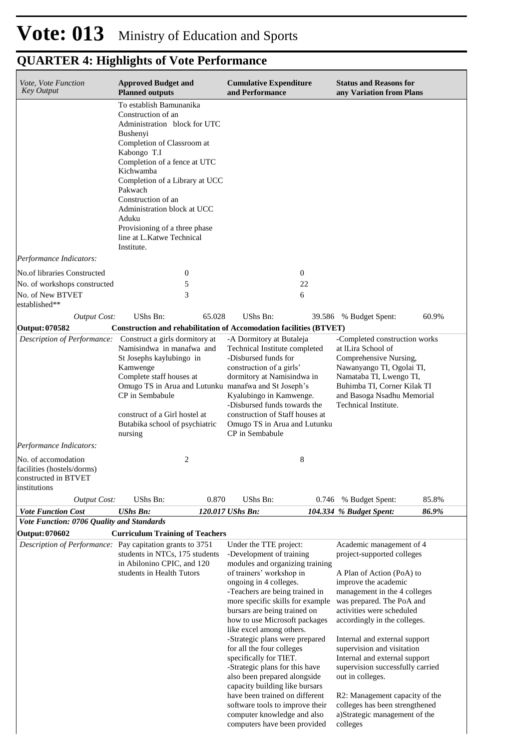| Vote, Vote Function<br><b>Key Output</b>                                                  | <b>Approved Budget and</b><br><b>Planned outputs</b>                                                                                                                                                                                                                                                                                                                       | <b>Cumulative Expenditure</b><br>and Performance                                                                                                                                                                                                                                                                                                                                                                                                                                                                                                                                                                | <b>Status and Reasons for</b><br>any Variation from Plans                                                                                                                                                                                                                                                                                                                                                                                                                                          |
|-------------------------------------------------------------------------------------------|----------------------------------------------------------------------------------------------------------------------------------------------------------------------------------------------------------------------------------------------------------------------------------------------------------------------------------------------------------------------------|-----------------------------------------------------------------------------------------------------------------------------------------------------------------------------------------------------------------------------------------------------------------------------------------------------------------------------------------------------------------------------------------------------------------------------------------------------------------------------------------------------------------------------------------------------------------------------------------------------------------|----------------------------------------------------------------------------------------------------------------------------------------------------------------------------------------------------------------------------------------------------------------------------------------------------------------------------------------------------------------------------------------------------------------------------------------------------------------------------------------------------|
|                                                                                           | To establish Bamunanika<br>Construction of an<br>Administration block for UTC<br>Bushenyi<br>Completion of Classroom at<br>Kabongo T.I<br>Completion of a fence at UTC<br>Kichwamba<br>Completion of a Library at UCC<br>Pakwach<br>Construction of an<br>Administration block at UCC<br>Aduku<br>Provisioning of a three phase<br>line at L.Katwe Technical<br>Institute. |                                                                                                                                                                                                                                                                                                                                                                                                                                                                                                                                                                                                                 |                                                                                                                                                                                                                                                                                                                                                                                                                                                                                                    |
| Performance Indicators:                                                                   |                                                                                                                                                                                                                                                                                                                                                                            |                                                                                                                                                                                                                                                                                                                                                                                                                                                                                                                                                                                                                 |                                                                                                                                                                                                                                                                                                                                                                                                                                                                                                    |
| No.of libraries Constructed                                                               | $\mathbf{0}$                                                                                                                                                                                                                                                                                                                                                               | $\mathbf{0}$                                                                                                                                                                                                                                                                                                                                                                                                                                                                                                                                                                                                    |                                                                                                                                                                                                                                                                                                                                                                                                                                                                                                    |
| No. of workshops constructed<br>No. of New BTVET<br>established**                         | 5<br>3                                                                                                                                                                                                                                                                                                                                                                     | 22<br>6                                                                                                                                                                                                                                                                                                                                                                                                                                                                                                                                                                                                         |                                                                                                                                                                                                                                                                                                                                                                                                                                                                                                    |
| <b>Output Cost:</b>                                                                       | UShs Bn:<br>65.028                                                                                                                                                                                                                                                                                                                                                         | UShs Bn:                                                                                                                                                                                                                                                                                                                                                                                                                                                                                                                                                                                                        | 39.586 % Budget Spent:<br>60.9%                                                                                                                                                                                                                                                                                                                                                                                                                                                                    |
| Output: 070582                                                                            |                                                                                                                                                                                                                                                                                                                                                                            | Construction and rehabilitation of Accomodation facilities (BTVET)                                                                                                                                                                                                                                                                                                                                                                                                                                                                                                                                              |                                                                                                                                                                                                                                                                                                                                                                                                                                                                                                    |
| <b>Description of Performance:</b>                                                        | Construct a girls dormitory at<br>Namisindwa in manafwa and<br>St Josephs kaylubingo in<br>Kamwenge<br>Complete staff houses at<br>Omugo TS in Arua and Lutunku manafwa and St Joseph's<br>CP in Sembabule<br>construct of a Girl hostel at<br>Butabika school of psychiatric<br>nursing                                                                                   | -A Dormitory at Butaleja<br>Technical Institute completed<br>-Disbursed funds for<br>construction of a girls'<br>dormitory at Namisindwa in<br>Kyalubingo in Kamwenge.<br>-Disbursed funds towards the<br>construction of Staff houses at<br>Omugo TS in Arua and Lutunku<br>CP in Sembabule                                                                                                                                                                                                                                                                                                                    | -Completed construction works<br>at lLira School of<br>Comprehensive Nursing,<br>Nawanyango TI, Ogolai TI,<br>Namataba TI, Lwengo TI,<br>Buhimba TI, Corner Kilak TI<br>and Basoga Nsadhu Memorial<br>Technical Institute.                                                                                                                                                                                                                                                                         |
| Performance Indicators:                                                                   |                                                                                                                                                                                                                                                                                                                                                                            |                                                                                                                                                                                                                                                                                                                                                                                                                                                                                                                                                                                                                 |                                                                                                                                                                                                                                                                                                                                                                                                                                                                                                    |
| No. of accomodation<br>facilities (hostels/dorms)<br>constructed in BTVET<br>institutions | 2                                                                                                                                                                                                                                                                                                                                                                          | 8                                                                                                                                                                                                                                                                                                                                                                                                                                                                                                                                                                                                               |                                                                                                                                                                                                                                                                                                                                                                                                                                                                                                    |
| <b>Output Cost:</b>                                                                       | UShs Bn:<br>0.870                                                                                                                                                                                                                                                                                                                                                          | UShs Bn:<br>0.746                                                                                                                                                                                                                                                                                                                                                                                                                                                                                                                                                                                               | 85.8%<br>% Budget Spent:                                                                                                                                                                                                                                                                                                                                                                                                                                                                           |
| <b>Vote Function Cost</b>                                                                 | <b>UShs Bn:</b>                                                                                                                                                                                                                                                                                                                                                            | 120.017 UShs Bn:                                                                                                                                                                                                                                                                                                                                                                                                                                                                                                                                                                                                | 86.9%<br>104.334 % Budget Spent:                                                                                                                                                                                                                                                                                                                                                                                                                                                                   |
| Vote Function: 0706 Quality and Standards                                                 |                                                                                                                                                                                                                                                                                                                                                                            |                                                                                                                                                                                                                                                                                                                                                                                                                                                                                                                                                                                                                 |                                                                                                                                                                                                                                                                                                                                                                                                                                                                                                    |
| <b>Output: 070602</b><br>Description of Performance: Pay capitation grants to 3751        | <b>Curriculum Training of Teachers</b><br>students in NTCs, 175 students<br>in Abilonino CPIC, and 120<br>students in Health Tutors                                                                                                                                                                                                                                        | Under the TTE project:<br>-Development of training<br>modules and organizing training<br>of trainers' workshop in<br>ongoing in 4 colleges.<br>-Teachers are being trained in<br>more specific skills for example<br>bursars are being trained on<br>how to use Microsoft packages<br>like excel among others.<br>-Strategic plans were prepared<br>for all the four colleges<br>specifically for TIET.<br>-Strategic plans for this have<br>also been prepared alongside<br>capacity building like bursars<br>have been trained on different<br>software tools to improve their<br>computer knowledge and also | Academic management of 4<br>project-supported colleges<br>A Plan of Action (PoA) to<br>improve the academic<br>management in the 4 colleges<br>was prepared. The PoA and<br>activities were scheduled<br>accordingly in the colleges.<br>Internal and external support<br>supervision and visitation<br>Internal and external support<br>supervision successfully carried<br>out in colleges.<br>R2: Management capacity of the<br>colleges has been strengthened<br>a)Strategic management of the |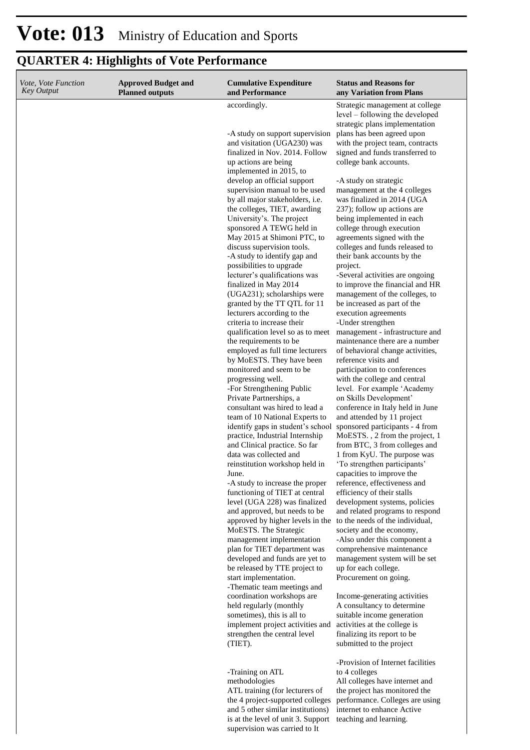| <i>Vote, Vote Function</i><br><b>Key Output</b> | <b>Approved Budget and</b><br><b>Planned outputs</b> | <b>Cumulative Expenditure</b><br>and Performance                                                                                                                                                                                                                                                                                                                                                                                                                                                                                                                                                                                                                                                                                                                                                                                                                                                                                                                                                                                                                                                                                                                                                                                                                                                                                                                                                                                                                                                            | <b>Status and Reasons for</b><br>any Variation from Plans                                                                                                                                                                                                                                                                                                                                                                                                                                                                                                                                                                                                                                                                                                                                                                                                                                                                                                                                                                                                                                                                                                                                                                                                                                                                                                                                                                                                                                                                                                              |
|-------------------------------------------------|------------------------------------------------------|-------------------------------------------------------------------------------------------------------------------------------------------------------------------------------------------------------------------------------------------------------------------------------------------------------------------------------------------------------------------------------------------------------------------------------------------------------------------------------------------------------------------------------------------------------------------------------------------------------------------------------------------------------------------------------------------------------------------------------------------------------------------------------------------------------------------------------------------------------------------------------------------------------------------------------------------------------------------------------------------------------------------------------------------------------------------------------------------------------------------------------------------------------------------------------------------------------------------------------------------------------------------------------------------------------------------------------------------------------------------------------------------------------------------------------------------------------------------------------------------------------------|------------------------------------------------------------------------------------------------------------------------------------------------------------------------------------------------------------------------------------------------------------------------------------------------------------------------------------------------------------------------------------------------------------------------------------------------------------------------------------------------------------------------------------------------------------------------------------------------------------------------------------------------------------------------------------------------------------------------------------------------------------------------------------------------------------------------------------------------------------------------------------------------------------------------------------------------------------------------------------------------------------------------------------------------------------------------------------------------------------------------------------------------------------------------------------------------------------------------------------------------------------------------------------------------------------------------------------------------------------------------------------------------------------------------------------------------------------------------------------------------------------------------------------------------------------------------|
|                                                 |                                                      | accordingly.<br>-A study on support supervision<br>and visitation (UGA230) was<br>finalized in Nov. 2014. Follow<br>up actions are being<br>implemented in 2015, to<br>develop an official support<br>supervision manual to be used<br>by all major stakeholders, i.e.<br>the colleges, TIET, awarding<br>University's. The project<br>sponsored A TEWG held in<br>May 2015 at Shimoni PTC, to<br>discuss supervision tools.<br>-A study to identify gap and<br>possibilities to upgrade<br>lecturer's qualifications was<br>finalized in May 2014<br>(UGA231); scholarships were<br>granted by the TT QTL for 11<br>lecturers according to the<br>criteria to increase their<br>qualification level so as to meet<br>the requirements to be<br>employed as full time lecturers<br>by MoESTS. They have been<br>monitored and seem to be<br>progressing well.<br>-For Strengthening Public<br>Private Partnerships, a<br>consultant was hired to lead a<br>team of 10 National Experts to<br>identify gaps in student's school<br>practice, Industrial Internship<br>and Clinical practice. So far<br>data was collected and<br>reinstitution workshop held in<br>June.<br>-A study to increase the proper<br>functioning of TIET at central<br>level (UGA 228) was finalized<br>and approved, but needs to be<br>approved by higher levels in the<br>MoESTS. The Strategic<br>management implementation<br>plan for TIET department was<br>developed and funds are yet to<br>be released by TTE project to | Strategic management at college<br>level – following the developed<br>strategic plans implementation<br>plans has been agreed upon<br>with the project team, contracts<br>signed and funds transferred to<br>college bank accounts.<br>-A study on strategic<br>management at the 4 colleges<br>was finalized in 2014 (UGA<br>237); follow up actions are<br>being implemented in each<br>college through execution<br>agreements signed with the<br>colleges and funds released to<br>their bank accounts by the<br>project.<br>-Several activities are ongoing<br>to improve the financial and HR<br>management of the colleges, to<br>be increased as part of the<br>execution agreements<br>-Under strengthen<br>management - infrastructure and<br>maintenance there are a number<br>of behavioral change activities,<br>reference visits and<br>participation to conferences<br>with the college and central<br>level. For example 'Academy<br>on Skills Development'<br>conference in Italy held in June<br>and attended by 11 project<br>sponsored participants - 4 from<br>MoESTS., 2 from the project, 1<br>from BTC, 3 from colleges and<br>1 from KyU. The purpose was<br>'To strengthen participants'<br>capacities to improve the<br>reference, effectiveness and<br>efficiency of their stalls<br>development systems, policies<br>and related programs to respond<br>to the needs of the individual,<br>society and the economy,<br>-Also under this component a<br>comprehensive maintenance<br>management system will be set<br>up for each college. |
|                                                 |                                                      | start implementation.<br>-Thematic team meetings and<br>coordination workshops are<br>held regularly (monthly<br>sometimes), this is all to<br>implement project activities and<br>strengthen the central level<br>(TIET).                                                                                                                                                                                                                                                                                                                                                                                                                                                                                                                                                                                                                                                                                                                                                                                                                                                                                                                                                                                                                                                                                                                                                                                                                                                                                  | Procurement on going.<br>Income-generating activities<br>A consultancy to determine<br>suitable income generation<br>activities at the college is<br>finalizing its report to be<br>submitted to the project                                                                                                                                                                                                                                                                                                                                                                                                                                                                                                                                                                                                                                                                                                                                                                                                                                                                                                                                                                                                                                                                                                                                                                                                                                                                                                                                                           |
|                                                 |                                                      | -Training on ATL<br>methodologies                                                                                                                                                                                                                                                                                                                                                                                                                                                                                                                                                                                                                                                                                                                                                                                                                                                                                                                                                                                                                                                                                                                                                                                                                                                                                                                                                                                                                                                                           | -Provision of Internet facilities<br>to 4 colleges<br>All colleges have internet and                                                                                                                                                                                                                                                                                                                                                                                                                                                                                                                                                                                                                                                                                                                                                                                                                                                                                                                                                                                                                                                                                                                                                                                                                                                                                                                                                                                                                                                                                   |
|                                                 |                                                      | ATL training (for lecturers of<br>the 4 project-supported colleges<br>and 5 other similar institutions)<br>is at the level of unit 3. Support                                                                                                                                                                                                                                                                                                                                                                                                                                                                                                                                                                                                                                                                                                                                                                                                                                                                                                                                                                                                                                                                                                                                                                                                                                                                                                                                                               | the project has monitored the<br>performance. Colleges are using<br>internet to enhance Active<br>teaching and learning.                                                                                                                                                                                                                                                                                                                                                                                                                                                                                                                                                                                                                                                                                                                                                                                                                                                                                                                                                                                                                                                                                                                                                                                                                                                                                                                                                                                                                                               |

supervision was carried to It

# **Vote: 013** Ministry of Education and Sports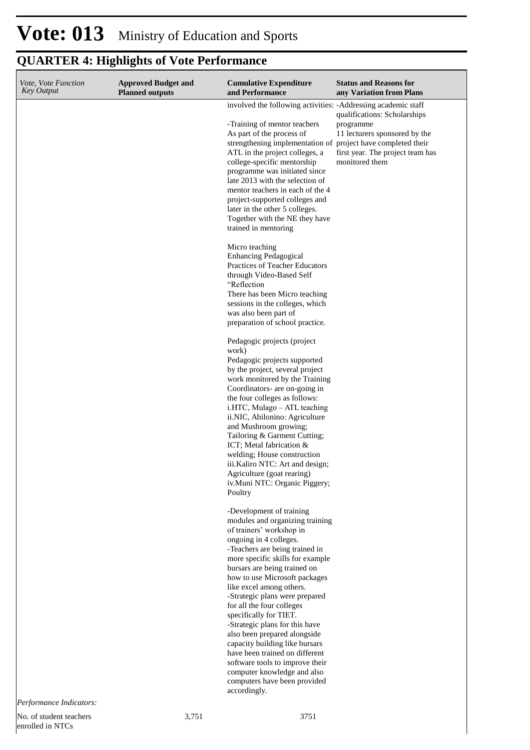# **Vote: 013** Ministry of Education and Sports

| Vote, Vote Function<br><b>Key Output</b> | <b>Approved Budget and</b><br><b>Planned outputs</b> | <b>Cumulative Expenditure</b><br>and Performance                                                                                                                                                                                                                                                                                                                                                                                                                                                                                                                                                                                      | <b>Status and Reasons for</b><br>any Variation from Plans                                                                                                        |
|------------------------------------------|------------------------------------------------------|---------------------------------------------------------------------------------------------------------------------------------------------------------------------------------------------------------------------------------------------------------------------------------------------------------------------------------------------------------------------------------------------------------------------------------------------------------------------------------------------------------------------------------------------------------------------------------------------------------------------------------------|------------------------------------------------------------------------------------------------------------------------------------------------------------------|
|                                          |                                                      | involved the following activities: -Addressing academic staff<br>-Training of mentor teachers<br>As part of the process of<br>strengthening implementation of<br>ATL in the project colleges, a<br>college-specific mentorship<br>programme was initiated since<br>late 2013 with the selection of<br>mentor teachers in each of the 4<br>project-supported colleges and<br>later in the other 5 colleges.<br>Together with the NE they have<br>trained in mentoring                                                                                                                                                                  | qualifications: Scholarships<br>programme<br>11 lecturers sponsored by the<br>project have completed their<br>first year. The project team has<br>monitored them |
|                                          |                                                      | Micro teaching<br><b>Enhancing Pedagogical</b><br>Practices of Teacher Educators<br>through Video-Based Self<br>"Reflection<br>There has been Micro teaching<br>sessions in the colleges, which<br>was also been part of<br>preparation of school practice.                                                                                                                                                                                                                                                                                                                                                                           |                                                                                                                                                                  |
|                                          |                                                      | Pedagogic projects (project<br>work)<br>Pedagogic projects supported<br>by the project, several project<br>work monitored by the Training<br>Coordinators- are on-going in<br>the four colleges as follows:<br>i.HTC, Mulago – ATL teaching<br>ii.NIC, Abilonino: Agriculture<br>and Mushroom growing;<br>Tailoring & Garment Cutting;<br>ICT; Metal fabrication &<br>welding; House construction<br>iii.Kaliro NTC: Art and design;<br>Agriculture (goat rearing)<br>iv. Muni NTC: Organic Piggery;<br>Poultry                                                                                                                       |                                                                                                                                                                  |
| Performance Indicators:                  |                                                      | -Development of training<br>modules and organizing training<br>of trainers' workshop in<br>ongoing in 4 colleges.<br>-Teachers are being trained in<br>more specific skills for example<br>bursars are being trained on<br>how to use Microsoft packages<br>like excel among others.<br>-Strategic plans were prepared<br>for all the four colleges<br>specifically for TIET.<br>-Strategic plans for this have<br>also been prepared alongside<br>capacity building like bursars<br>have been trained on different<br>software tools to improve their<br>computer knowledge and also<br>computers have been provided<br>accordingly. |                                                                                                                                                                  |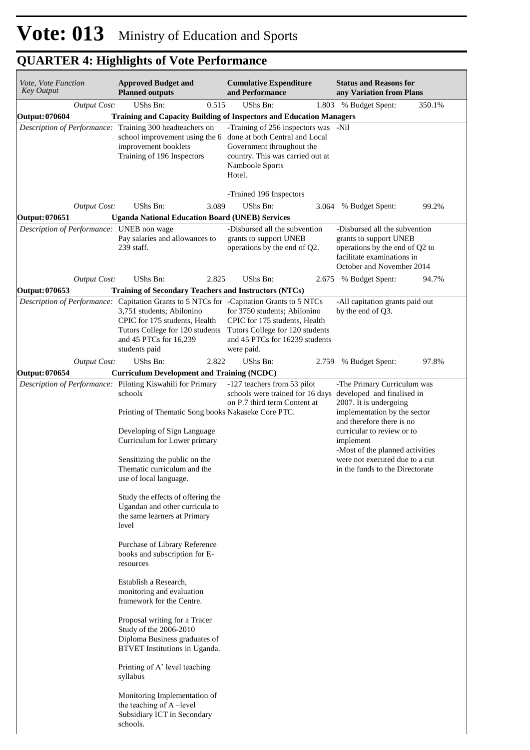| Vote, Vote Function<br>Key Output         | <b>Approved Budget and</b><br><b>Planned outputs</b>                                                                                                                                                                                                                                                                                                                                                                                                                                                                                                                                                                                                                                                                                                                                                                                       | <b>Cumulative Expenditure</b><br>and Performance                                                                                                                                                | <b>Status and Reasons for</b><br>any Variation from Plans                                                                                                                                                                                                                                           |
|-------------------------------------------|--------------------------------------------------------------------------------------------------------------------------------------------------------------------------------------------------------------------------------------------------------------------------------------------------------------------------------------------------------------------------------------------------------------------------------------------------------------------------------------------------------------------------------------------------------------------------------------------------------------------------------------------------------------------------------------------------------------------------------------------------------------------------------------------------------------------------------------------|-------------------------------------------------------------------------------------------------------------------------------------------------------------------------------------------------|-----------------------------------------------------------------------------------------------------------------------------------------------------------------------------------------------------------------------------------------------------------------------------------------------------|
| <b>Output Cost:</b>                       | UShs Bn:<br>0.515                                                                                                                                                                                                                                                                                                                                                                                                                                                                                                                                                                                                                                                                                                                                                                                                                          | UShs Bn:                                                                                                                                                                                        | 1.803 % Budget Spent:<br>350.1%                                                                                                                                                                                                                                                                     |
| Output: 070604                            | <b>Training and Capacity Building of Inspectors and Education Managers</b>                                                                                                                                                                                                                                                                                                                                                                                                                                                                                                                                                                                                                                                                                                                                                                 |                                                                                                                                                                                                 |                                                                                                                                                                                                                                                                                                     |
|                                           | Description of Performance: Training 300 headteachers on<br>school improvement using the 6<br>improvement booklets<br>Training of 196 Inspectors                                                                                                                                                                                                                                                                                                                                                                                                                                                                                                                                                                                                                                                                                           | -Training of 256 inspectors was -Nil<br>done at both Central and Local<br>Government throughout the<br>country. This was carried out at<br>Namboole Sports<br>Hotel.<br>-Trained 196 Inspectors |                                                                                                                                                                                                                                                                                                     |
| <b>Output Cost:</b>                       | UShs Bn:<br>3.089                                                                                                                                                                                                                                                                                                                                                                                                                                                                                                                                                                                                                                                                                                                                                                                                                          | UShs Bn:<br>3.064                                                                                                                                                                               | 99.2%<br>% Budget Spent:                                                                                                                                                                                                                                                                            |
| Output: 070651                            | <b>Uganda National Education Board (UNEB) Services</b>                                                                                                                                                                                                                                                                                                                                                                                                                                                                                                                                                                                                                                                                                                                                                                                     |                                                                                                                                                                                                 |                                                                                                                                                                                                                                                                                                     |
| Description of Performance: UNEB non wage | Pay salaries and allowances to<br>239 staff.                                                                                                                                                                                                                                                                                                                                                                                                                                                                                                                                                                                                                                                                                                                                                                                               | -Disbursed all the subvention<br>grants to support UNEB<br>operations by the end of Q2.                                                                                                         | -Disbursed all the subvention<br>grants to support UNEB<br>operations by the end of Q2 to<br>facilitate examinations in<br>October and November 2014                                                                                                                                                |
| <b>Output Cost:</b>                       | UShs Bn:<br>2.825                                                                                                                                                                                                                                                                                                                                                                                                                                                                                                                                                                                                                                                                                                                                                                                                                          | UShs Bn:                                                                                                                                                                                        | 2.675 % Budget Spent:<br>94.7%                                                                                                                                                                                                                                                                      |
| Output: 070653                            | Training of Secondary Teachers and Instructors (NTCs)                                                                                                                                                                                                                                                                                                                                                                                                                                                                                                                                                                                                                                                                                                                                                                                      |                                                                                                                                                                                                 |                                                                                                                                                                                                                                                                                                     |
| Description of Performance:               | Capitation Grants to 5 NTCs for -Capitation Grants to 5 NTCs<br>3,751 students; Abilonino<br>CPIC for 175 students, Health<br>Tutors College for 120 students<br>and 45 PTCs for 16,239<br>students paid                                                                                                                                                                                                                                                                                                                                                                                                                                                                                                                                                                                                                                   | for 3750 students; Abilonino<br>CPIC for 175 students, Health<br>Tutors College for 120 students<br>and 45 PTCs for 16239 students<br>were paid.                                                | -All capitation grants paid out<br>by the end of O3.                                                                                                                                                                                                                                                |
| <b>Output Cost:</b>                       | 2.822<br>UShs Bn:                                                                                                                                                                                                                                                                                                                                                                                                                                                                                                                                                                                                                                                                                                                                                                                                                          | UShs Bn:<br>2.759                                                                                                                                                                               | 97.8%<br>% Budget Spent:                                                                                                                                                                                                                                                                            |
| Output: 070654                            | <b>Curriculum Development and Training (NCDC)</b>                                                                                                                                                                                                                                                                                                                                                                                                                                                                                                                                                                                                                                                                                                                                                                                          |                                                                                                                                                                                                 |                                                                                                                                                                                                                                                                                                     |
|                                           | Description of Performance: Piloting Kiswahili for Primary<br>schools<br>Printing of Thematic Song books Nakaseke Core PTC.<br>Developing of Sign Language<br>Curriculum for Lower primary<br>Sensitizing the public on the<br>Thematic curriculum and the<br>use of local language.<br>Study the effects of offering the<br>Ugandan and other curricula to<br>the same learners at Primary<br>level<br>Purchase of Library Reference<br>books and subscription for E-<br>resources<br>Establish a Research,<br>monitoring and evaluation<br>framework for the Centre.<br>Proposal writing for a Tracer<br>Study of the 2006-2010<br>Diploma Business graduates of<br>BTVET Institutions in Uganda.<br>Printing of A' level teaching<br>syllabus<br>Monitoring Implementation of<br>the teaching of A-level<br>Subsidiary ICT in Secondary | -127 teachers from 53 pilot<br>schools were trained for 16 days<br>on P.7 third term Content at                                                                                                 | -The Primary Curriculum was<br>developed and finalised in<br>2007. It is undergoing<br>implementation by the sector<br>and therefore there is no<br>curricular to review or to<br>implement<br>-Most of the planned activities<br>were not executed due to a cut<br>in the funds to the Directorate |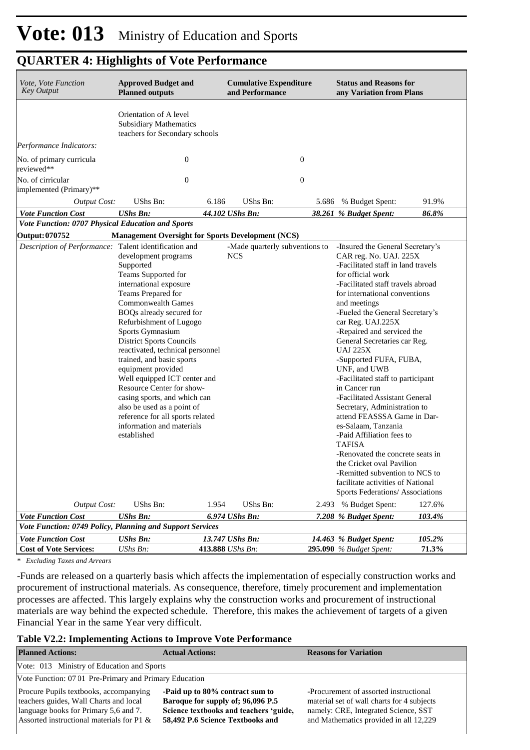| Vote, Vote Function<br><b>Key Output</b>                  | <b>Approved Budget and</b><br><b>Planned outputs</b>                                                                                                                                                                                                                                                                                                                                                                                                                                                                                   |       | <b>Cumulative Expenditure</b><br>and Performance |       | <b>Status and Reasons for</b><br>any Variation from Plans                                                                                                                                                                                                                                                                                                                                                                                                                                                                                                                    |                  |
|-----------------------------------------------------------|----------------------------------------------------------------------------------------------------------------------------------------------------------------------------------------------------------------------------------------------------------------------------------------------------------------------------------------------------------------------------------------------------------------------------------------------------------------------------------------------------------------------------------------|-------|--------------------------------------------------|-------|------------------------------------------------------------------------------------------------------------------------------------------------------------------------------------------------------------------------------------------------------------------------------------------------------------------------------------------------------------------------------------------------------------------------------------------------------------------------------------------------------------------------------------------------------------------------------|------------------|
|                                                           | Orientation of A level<br><b>Subsidiary Mathematics</b><br>teachers for Secondary schools                                                                                                                                                                                                                                                                                                                                                                                                                                              |       |                                                  |       |                                                                                                                                                                                                                                                                                                                                                                                                                                                                                                                                                                              |                  |
| Performance Indicators:                                   |                                                                                                                                                                                                                                                                                                                                                                                                                                                                                                                                        |       |                                                  |       |                                                                                                                                                                                                                                                                                                                                                                                                                                                                                                                                                                              |                  |
| No. of primary curricula<br>reviewed**                    | $\boldsymbol{0}$                                                                                                                                                                                                                                                                                                                                                                                                                                                                                                                       |       | $\boldsymbol{0}$                                 |       |                                                                                                                                                                                                                                                                                                                                                                                                                                                                                                                                                                              |                  |
| No. of cirricular<br>implemented (Primary)**              | $\boldsymbol{0}$                                                                                                                                                                                                                                                                                                                                                                                                                                                                                                                       |       | $\boldsymbol{0}$                                 |       |                                                                                                                                                                                                                                                                                                                                                                                                                                                                                                                                                                              |                  |
| <b>Output Cost:</b>                                       | UShs Bn:                                                                                                                                                                                                                                                                                                                                                                                                                                                                                                                               | 6.186 | UShs Bn:                                         | 5.686 | % Budget Spent:                                                                                                                                                                                                                                                                                                                                                                                                                                                                                                                                                              | 91.9%            |
| <b>Vote Function Cost</b>                                 | <b>UShs Bn:</b>                                                                                                                                                                                                                                                                                                                                                                                                                                                                                                                        |       | 44.102 UShs Bn:                                  |       | 38.261 % Budget Spent:                                                                                                                                                                                                                                                                                                                                                                                                                                                                                                                                                       | 86.8%            |
| Vote Function: 0707 Physical Education and Sports         |                                                                                                                                                                                                                                                                                                                                                                                                                                                                                                                                        |       |                                                  |       |                                                                                                                                                                                                                                                                                                                                                                                                                                                                                                                                                                              |                  |
| Output: 070752                                            | <b>Management Oversight for Sports Development (NCS)</b>                                                                                                                                                                                                                                                                                                                                                                                                                                                                               |       |                                                  |       |                                                                                                                                                                                                                                                                                                                                                                                                                                                                                                                                                                              |                  |
| Description of Performance: Talent identification and     | development programs<br>Supported<br>Teams Supported for<br>international exposure<br>Teams Prepared for<br><b>Commonwealth Games</b><br>BOQs already secured for<br>Refurbishment of Lugogo<br>Sports Gymnasium<br><b>District Sports Councils</b><br>reactivated, technical personnel<br>trained, and basic sports<br>equipment provided<br>Well equipped ICT center and<br>Resource Center for show-<br>casing sports, and which can<br>also be used as a point of<br>reference for all sports related<br>information and materials |       | -Made quarterly subventions to<br><b>NCS</b>     |       | -Insured the General Secretary's<br>CAR reg. No. UAJ. 225X<br>-Facilitated staff in land travels<br>for official work<br>-Facilitated staff travels abroad<br>for international conventions<br>and meetings<br>-Eueled the General Secretary's<br>car Reg. UAJ.225X<br>-Repaired and serviced the<br>General Secretaries car Reg.<br><b>UAJ 225X</b><br>-Supported FUFA, FUBA,<br>UNF, and UWB<br>-Facilitated staff to participant<br>in Cancer run<br>-Facilitated Assistant General<br>Secretary, Administration to<br>attend FEASSSA Game in Dar-<br>es-Salaam, Tanzania |                  |
| <b>Output Cost:</b><br><b>Vote Function Cost</b>          | established<br>UShs Bn:<br><b>UShs Bn:</b>                                                                                                                                                                                                                                                                                                                                                                                                                                                                                             | 1.954 | UShs Bn:<br>6.974 UShs Bn:                       |       | -Paid Affiliation fees to<br><b>TAFISA</b><br>-Renovated the concrete seats in<br>the Cricket oval Pavilion<br>-Remitted subvention to NCS to<br>facilitate activities of National<br>Sports Federations/ Associations<br>2.493 % Budget Spent:<br>7.208 % Budget Spent:                                                                                                                                                                                                                                                                                                     | 127.6%<br>103.4% |
| Vote Function: 0749 Policy, Planning and Support Services |                                                                                                                                                                                                                                                                                                                                                                                                                                                                                                                                        |       |                                                  |       |                                                                                                                                                                                                                                                                                                                                                                                                                                                                                                                                                                              |                  |
| <b>Vote Function Cost</b>                                 | <b>UShs Bn:</b>                                                                                                                                                                                                                                                                                                                                                                                                                                                                                                                        |       | 13.747 UShs Bn:                                  |       | 14.463 % Budget Spent:                                                                                                                                                                                                                                                                                                                                                                                                                                                                                                                                                       | 105.2%           |
| <b>Cost of Vote Services:</b>                             | UShs Bn:                                                                                                                                                                                                                                                                                                                                                                                                                                                                                                                               |       | 413.888 UShs Bn:                                 |       | <b>295.090</b> % Budget Spent:                                                                                                                                                                                                                                                                                                                                                                                                                                                                                                                                               | 71.3%            |

*\* Excluding Taxes and Arrears*

-Funds are released on a quarterly basis which affects the implementation of especially construction works and procurement of instructional materials. As consequence, therefore, timely procurement and implementation processes are affected. This largely explains why the construction works and procurement of instructional materials are way behind the expected schedule. Therefore, this makes the achievement of targets of a given Financial Year in the same Year very difficult.

#### **Table V2.2: Implementing Actions to Improve Vote Performance**

| <b>Planned Actions:</b>                                                                                                                                                       | <b>Actual Actions:</b>                                                                                                                             | <b>Reasons for Variation</b>                                                                                                                                           |
|-------------------------------------------------------------------------------------------------------------------------------------------------------------------------------|----------------------------------------------------------------------------------------------------------------------------------------------------|------------------------------------------------------------------------------------------------------------------------------------------------------------------------|
| Vote: 013 Ministry of Education and Sports                                                                                                                                    |                                                                                                                                                    |                                                                                                                                                                        |
| Vote Function: 07 01 Pre-Primary and Primary Education                                                                                                                        |                                                                                                                                                    |                                                                                                                                                                        |
| <b>Procure Pupils textbooks, accompanying</b><br>teachers guides, Wall Charts and local<br>language books for Primary 5,6 and 7.<br>Assorted instructional materials for P1 & | -Paid up to 80% contract sum to<br>Baroque for supply of; 96,096 P.5<br>Science textbooks and teachers 'guide,<br>58,492 P.6 Science Textbooks and | -Procurement of assorted instructional<br>material set of wall charts for 4 subjects<br>namely: CRE, Integrated Science, SST<br>and Mathematics provided in all 12,229 |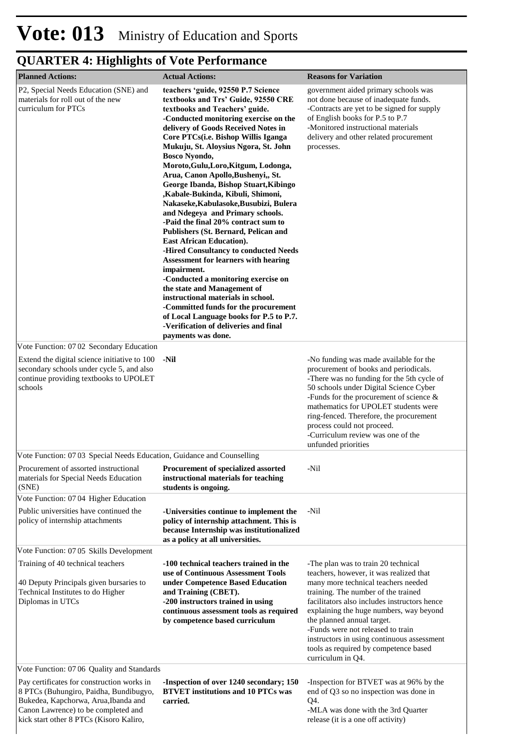| <b>Planned Actions:</b>                                                                                                                                                                                        | <b>Actual Actions:</b>                                                                                                                                                                                                                                                                                                                                                                                                                                                                                                                                                                                                                                                                                                                                                                                                                                                                                                                                                                                                                     | <b>Reasons for Variation</b>                                                                                                                                                                                                                                                                                                                                                                                                           |
|----------------------------------------------------------------------------------------------------------------------------------------------------------------------------------------------------------------|--------------------------------------------------------------------------------------------------------------------------------------------------------------------------------------------------------------------------------------------------------------------------------------------------------------------------------------------------------------------------------------------------------------------------------------------------------------------------------------------------------------------------------------------------------------------------------------------------------------------------------------------------------------------------------------------------------------------------------------------------------------------------------------------------------------------------------------------------------------------------------------------------------------------------------------------------------------------------------------------------------------------------------------------|----------------------------------------------------------------------------------------------------------------------------------------------------------------------------------------------------------------------------------------------------------------------------------------------------------------------------------------------------------------------------------------------------------------------------------------|
| P2, Special Needs Education (SNE) and<br>materials for roll out of the new<br>curriculum for PTCs                                                                                                              | teachers 'guide, 92550 P.7 Science<br>textbooks and Trs' Guide, 92550 CRE<br>textbooks and Teachers' guide.<br>-Conducted monitoring exercise on the<br>delivery of Goods Received Notes in<br>Core PTCs(i.e. Bishop Willis Iganga<br>Mukuju, St. Aloysius Ngora, St. John<br><b>Bosco Nyondo,</b><br>Moroto, Gulu, Loro, Kitgum, Lodonga,<br>Arua, Canon Apollo, Bushenyi,, St.<br>George Ibanda, Bishop Stuart, Kibingo<br>,Kabale-Bukinda, Kibuli, Shimoni,<br>Nakaseke, Kabulasoke, Busubizi, Bulera<br>and Ndegeya and Primary schools.<br>-Paid the final 20% contract sum to<br><b>Publishers (St. Bernard, Pelican and</b><br><b>East African Education).</b><br>-Hired Consultancy to conducted Needs<br><b>Assessment for learners with hearing</b><br>impairment.<br>-Conducted a monitoring exercise on<br>the state and Management of<br>instructional materials in school.<br>-Committed funds for the procurement<br>of Local Language books for P.5 to P.7.<br>-Verification of deliveries and final<br>payments was done. | government aided primary schools was<br>not done because of inadequate funds.<br>-Contracts are yet to be signed for supply<br>of English books for P.5 to P.7<br>-Monitored instructional materials<br>delivery and other related procurement<br>processes.                                                                                                                                                                           |
| Vote Function: 0702 Secondary Education                                                                                                                                                                        |                                                                                                                                                                                                                                                                                                                                                                                                                                                                                                                                                                                                                                                                                                                                                                                                                                                                                                                                                                                                                                            |                                                                                                                                                                                                                                                                                                                                                                                                                                        |
| Extend the digital science initiative to 100<br>secondary schools under cycle 5, and also<br>continue providing textbooks to UPOLET<br>schools                                                                 | -Nil                                                                                                                                                                                                                                                                                                                                                                                                                                                                                                                                                                                                                                                                                                                                                                                                                                                                                                                                                                                                                                       | -No funding was made available for the<br>procurement of books and periodicals.<br>-There was no funding for the 5th cycle of<br>50 schools under Digital Science Cyber<br>-Funds for the procurement of science $\&$<br>mathematics for UPOLET students were<br>ring-fenced. Therefore, the procurement<br>process could not proceed.<br>-Curriculum review was one of the<br>unfunded priorities                                     |
| Vote Function: 07 03 Special Needs Education, Guidance and Counselling                                                                                                                                         |                                                                                                                                                                                                                                                                                                                                                                                                                                                                                                                                                                                                                                                                                                                                                                                                                                                                                                                                                                                                                                            |                                                                                                                                                                                                                                                                                                                                                                                                                                        |
| Procurement of assorted instructional<br>materials for Special Needs Education<br>(SNE)                                                                                                                        | <b>Procurement of specialized assorted</b><br>instructional materials for teaching<br>students is ongoing.                                                                                                                                                                                                                                                                                                                                                                                                                                                                                                                                                                                                                                                                                                                                                                                                                                                                                                                                 | -Nil                                                                                                                                                                                                                                                                                                                                                                                                                                   |
| Vote Function: 0704 Higher Education                                                                                                                                                                           |                                                                                                                                                                                                                                                                                                                                                                                                                                                                                                                                                                                                                                                                                                                                                                                                                                                                                                                                                                                                                                            |                                                                                                                                                                                                                                                                                                                                                                                                                                        |
| Public universities have continued the<br>policy of internship attachments                                                                                                                                     | -Universities continue to implement the<br>policy of internship attachment. This is<br>because Internship was institutionalized<br>as a policy at all universities.                                                                                                                                                                                                                                                                                                                                                                                                                                                                                                                                                                                                                                                                                                                                                                                                                                                                        | -Nil                                                                                                                                                                                                                                                                                                                                                                                                                                   |
| Vote Function: 07 05 Skills Development                                                                                                                                                                        |                                                                                                                                                                                                                                                                                                                                                                                                                                                                                                                                                                                                                                                                                                                                                                                                                                                                                                                                                                                                                                            |                                                                                                                                                                                                                                                                                                                                                                                                                                        |
| Training of 40 technical teachers<br>40 Deputy Principals given bursaries to<br>Technical Institutes to do Higher<br>Diplomas in UTCs<br>Vote Function: 07 06 Quality and Standards                            | -100 technical teachers trained in the<br>use of Continuous Assessment Tools<br>under Competence Based Education<br>and Training (CBET).<br>-200 instructors trained in using<br>continuous assessment tools as required<br>by competence based curriculum                                                                                                                                                                                                                                                                                                                                                                                                                                                                                                                                                                                                                                                                                                                                                                                 | -The plan was to train 20 technical<br>teachers, however, it was realized that<br>many more technical teachers needed<br>training. The number of the trained<br>facilitators also includes instructors hence<br>explaining the huge numbers, way beyond<br>the planned annual target.<br>-Funds were not released to train<br>instructors in using continuous assessment<br>tools as required by competence based<br>curriculum in Q4. |
|                                                                                                                                                                                                                |                                                                                                                                                                                                                                                                                                                                                                                                                                                                                                                                                                                                                                                                                                                                                                                                                                                                                                                                                                                                                                            |                                                                                                                                                                                                                                                                                                                                                                                                                                        |
| Pay certificates for construction works in<br>8 PTCs (Buhungiro, Paidha, Bundibugyo,<br>Bukedea, Kapchorwa, Arua, Ibanda and<br>Canon Lawrence) to be completed and<br>kick start other 8 PTCs (Kisoro Kaliro, | -Inspection of over 1240 secondary; 150<br><b>BTVET</b> institutions and 10 PTCs was<br>carried.                                                                                                                                                                                                                                                                                                                                                                                                                                                                                                                                                                                                                                                                                                                                                                                                                                                                                                                                           | -Inspection for BTVET was at 96% by the<br>end of Q3 so no inspection was done in<br>Q4.<br>-MLA was done with the 3rd Quarter<br>release (it is a one off activity)                                                                                                                                                                                                                                                                   |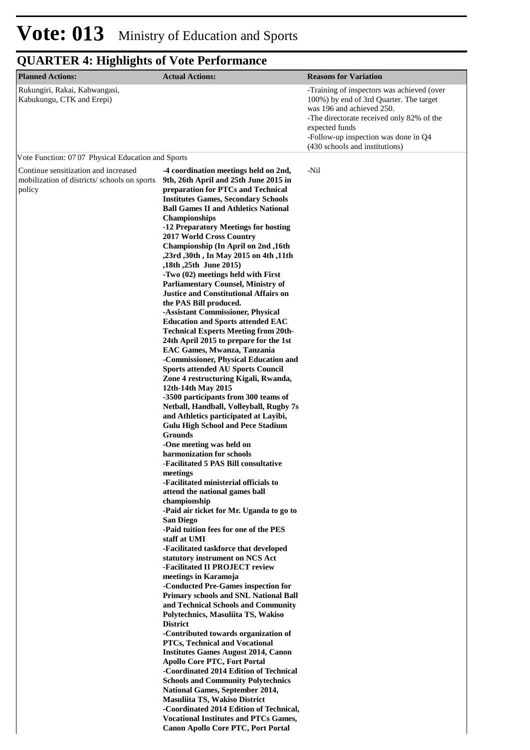| <b>Planned Actions:</b>                                                                       | <b>Actual Actions:</b>                                                                                                                                                                                                                                                                                                                                                                                                                                                                                                                                                                                                                                                                                                                                                                                                                                                                                                                                                                                                                                                                                                                                                                                                                                                                                                                                                                                                                                                                                                                                                                                                                                                                                                                                                                                                                                                                                                                                                                                                          | <b>Reasons for Variation</b>                                                                                                                                                                                                                                |
|-----------------------------------------------------------------------------------------------|---------------------------------------------------------------------------------------------------------------------------------------------------------------------------------------------------------------------------------------------------------------------------------------------------------------------------------------------------------------------------------------------------------------------------------------------------------------------------------------------------------------------------------------------------------------------------------------------------------------------------------------------------------------------------------------------------------------------------------------------------------------------------------------------------------------------------------------------------------------------------------------------------------------------------------------------------------------------------------------------------------------------------------------------------------------------------------------------------------------------------------------------------------------------------------------------------------------------------------------------------------------------------------------------------------------------------------------------------------------------------------------------------------------------------------------------------------------------------------------------------------------------------------------------------------------------------------------------------------------------------------------------------------------------------------------------------------------------------------------------------------------------------------------------------------------------------------------------------------------------------------------------------------------------------------------------------------------------------------------------------------------------------------|-------------------------------------------------------------------------------------------------------------------------------------------------------------------------------------------------------------------------------------------------------------|
| Rukungiri, Rakai, Kabwangasi,<br>Kabukungu, CTK and Erepi)                                    |                                                                                                                                                                                                                                                                                                                                                                                                                                                                                                                                                                                                                                                                                                                                                                                                                                                                                                                                                                                                                                                                                                                                                                                                                                                                                                                                                                                                                                                                                                                                                                                                                                                                                                                                                                                                                                                                                                                                                                                                                                 | -Training of inspectors was achieved (over<br>100%) by end of 3rd Quarter. The target<br>was 196 and achieved 250.<br>-The directorate received only 82% of the<br>expected funds<br>-Follow-up inspection was done in Q4<br>(430 schools and institutions) |
| Vote Function: 07 07 Physical Education and Sports                                            |                                                                                                                                                                                                                                                                                                                                                                                                                                                                                                                                                                                                                                                                                                                                                                                                                                                                                                                                                                                                                                                                                                                                                                                                                                                                                                                                                                                                                                                                                                                                                                                                                                                                                                                                                                                                                                                                                                                                                                                                                                 |                                                                                                                                                                                                                                                             |
| Continue sensitization and increased<br>mobilization of districts/schools on sports<br>policy | -4 coordination meetings held on 2nd,<br>9th, 26th April and 25th June 2015 in<br>preparation for PTCs and Technical<br><b>Institutes Games, Secondary Schools</b><br><b>Ball Games II and Athletics National</b><br><b>Championships</b><br>-12 Preparatory Meetings for hosting<br><b>2017 World Cross Country</b><br>Championship (In April on 2nd, 16th<br>,23rd, 30th, In May 2015 on 4th, 11th<br>,18th, 25th June 2015)<br>-Two (02) meetings held with First<br><b>Parliamentary Counsel, Ministry of</b><br><b>Justice and Constitutional Affairs on</b><br>the PAS Bill produced.<br>-Assistant Commissioner, Physical<br><b>Education and Sports attended EAC</b><br><b>Technical Experts Meeting from 20th-</b><br>24th April 2015 to prepare for the 1st<br>EAC Games, Mwanza, Tanzania<br>-Commissioner, Physical Education and<br><b>Sports attended AU Sports Council</b><br>Zone 4 restructuring Kigali, Rwanda,<br>12th-14th May 2015<br>-3500 participants from 300 teams of<br>Netball, Handball, Volleyball, Rugby 7s<br>and Athletics participated at Layibi,<br><b>Gulu High School and Pece Stadium</b><br><b>Grounds</b><br>-One meeting was held on<br>harmonization for schools<br>-Facilitated 5 PAS Bill consultative<br>meetings<br>-Facilitated ministerial officials to<br>attend the national games ball<br>championship<br>-Paid air ticket for Mr. Uganda to go to<br><b>San Diego</b><br>-Paid tuition fees for one of the PES<br>staff at UMI<br>-Facilitated taskforce that developed<br>statutory instrument on NCS Act<br>-Facilitated II PROJECT review<br>meetings in Karamoja<br>-Conducted Pre-Games inspection for<br><b>Primary schools and SNL National Ball</b><br>and Technical Schools and Community<br>Polytechnics, Masuliita TS, Wakiso<br><b>District</b><br>-Contributed towards organization of<br><b>PTCs, Technical and Vocational</b><br><b>Institutes Games August 2014, Canon</b><br><b>Apollo Core PTC, Fort Portal</b><br>-Coordinated 2014 Edition of Technical | -Nil                                                                                                                                                                                                                                                        |
|                                                                                               | <b>Schools and Community Polytechnics</b><br><b>National Games, September 2014,</b><br>Masuliita TS, Wakiso District<br>-Coordinated 2014 Edition of Technical,<br><b>Vocational Institutes and PTCs Games,</b><br><b>Canon Apollo Core PTC, Port Portal</b>                                                                                                                                                                                                                                                                                                                                                                                                                                                                                                                                                                                                                                                                                                                                                                                                                                                                                                                                                                                                                                                                                                                                                                                                                                                                                                                                                                                                                                                                                                                                                                                                                                                                                                                                                                    |                                                                                                                                                                                                                                                             |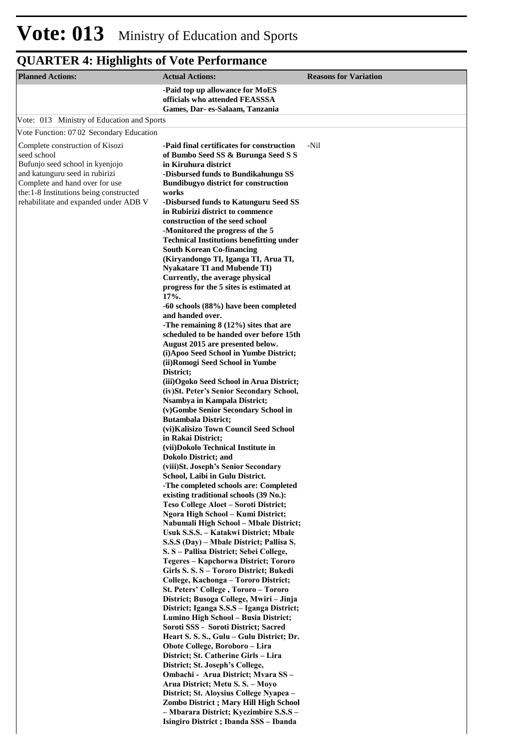| <b>Planned Actions:</b>                                                                                                                                                                                                                  | <b>Actual Actions:</b>                                                                                                                                                                                                                                                                                                                                                                                                                                                                                                                                                                                                                                                                                                                                                                                                                                                                                                                                                                                                                                                                                                                                                                                                                                                                                                                                                                                                                                                                                                                                                                                                                                                                                                                                                                                                                                                                                                                                                                                                                                                                                                                                                                                                                                                                                                                     | <b>Reasons for Variation</b> |
|------------------------------------------------------------------------------------------------------------------------------------------------------------------------------------------------------------------------------------------|--------------------------------------------------------------------------------------------------------------------------------------------------------------------------------------------------------------------------------------------------------------------------------------------------------------------------------------------------------------------------------------------------------------------------------------------------------------------------------------------------------------------------------------------------------------------------------------------------------------------------------------------------------------------------------------------------------------------------------------------------------------------------------------------------------------------------------------------------------------------------------------------------------------------------------------------------------------------------------------------------------------------------------------------------------------------------------------------------------------------------------------------------------------------------------------------------------------------------------------------------------------------------------------------------------------------------------------------------------------------------------------------------------------------------------------------------------------------------------------------------------------------------------------------------------------------------------------------------------------------------------------------------------------------------------------------------------------------------------------------------------------------------------------------------------------------------------------------------------------------------------------------------------------------------------------------------------------------------------------------------------------------------------------------------------------------------------------------------------------------------------------------------------------------------------------------------------------------------------------------------------------------------------------------------------------------------------------------|------------------------------|
|                                                                                                                                                                                                                                          | -Paid top up allowance for MoES<br>officials who attended FEASSSA<br>Games, Dar-es-Salaam, Tanzania                                                                                                                                                                                                                                                                                                                                                                                                                                                                                                                                                                                                                                                                                                                                                                                                                                                                                                                                                                                                                                                                                                                                                                                                                                                                                                                                                                                                                                                                                                                                                                                                                                                                                                                                                                                                                                                                                                                                                                                                                                                                                                                                                                                                                                        |                              |
| Vote: 013 Ministry of Education and Sports                                                                                                                                                                                               |                                                                                                                                                                                                                                                                                                                                                                                                                                                                                                                                                                                                                                                                                                                                                                                                                                                                                                                                                                                                                                                                                                                                                                                                                                                                                                                                                                                                                                                                                                                                                                                                                                                                                                                                                                                                                                                                                                                                                                                                                                                                                                                                                                                                                                                                                                                                            |                              |
| Vote Function: 07 02 Secondary Education                                                                                                                                                                                                 |                                                                                                                                                                                                                                                                                                                                                                                                                                                                                                                                                                                                                                                                                                                                                                                                                                                                                                                                                                                                                                                                                                                                                                                                                                                                                                                                                                                                                                                                                                                                                                                                                                                                                                                                                                                                                                                                                                                                                                                                                                                                                                                                                                                                                                                                                                                                            |                              |
| Complete construction of Kisozi<br>seed school<br>Bufunjo seed school in kyenjojo<br>and katunguru seed in rubirizi<br>Complete and hand over for use<br>the:1-8 Institutions being constructed<br>rehabilitate and expanded under ADB V | -Paid final certificates for construction<br>of Bumbo Seed SS & Burunga Seed S S<br>in Kiruhura district<br>-Disbursed funds to Bundikahungu SS<br><b>Bundibugyo district for construction</b><br>works<br>-Disbursed funds to Katunguru Seed SS<br>in Rubirizi district to commence<br>construction of the seed school<br>-Monitored the progress of the 5<br><b>Technical Institutions benefitting under</b><br><b>South Korean Co-financing</b><br>(Kiryandongo TI, Iganga TI, Arua TI,<br><b>Nyakatare TI and Mubende TI)</b><br>Currently, the average physical<br>progress for the 5 sites is estimated at<br>17%.<br>-60 schools (88%) have been completed<br>and handed over.<br>-The remaining $8(12\%)$ sites that are<br>scheduled to be handed over before 15th<br>August 2015 are presented below.<br>(i) Apoo Seed School in Yumbe District;<br>(ii) Romogi Seed School in Yumbe<br>District;<br>(iii) Ogoko Seed School in Arua District;<br>(iv) St. Peter's Senior Secondary School,<br>Nsambya in Kampala District;<br>(v)Gombe Senior Secondary School in<br><b>Butambala District;</b><br>(vi) Kalisizo Town Council Seed School<br>in Rakai District;<br>(vii)Dokolo Technical Institute in<br><b>Dokolo District; and</b><br>(viii) St. Joseph's Senior Secondary<br>School, Laibi in Gulu District.<br>-The completed schools are: Completed<br>existing traditional schools (39 No.):<br>Teso College Aloet - Soroti District;<br>Ngora High School – Kumi District;<br>Nabumali High School – Mbale District;<br>Usuk S.S.S. – Katakwi District; Mbale<br>S.S.S (Day) – Mbale District; Pallisa S.<br>S. S – Pallisa District; Sebei College,<br>Tegeres - Kapchorwa District; Tororo<br>Girls S. S. S - Tororo District; Bukedi<br>College, Kachonga - Tororo District;<br>St. Peters' College, Tororo - Tororo<br>District; Busoga College, Mwiri - Jinja<br>District; Iganga S.S.S - Iganga District;<br>Lumino High School - Busia District;<br>Soroti SSS - Soroti District; Sacred<br>Heart S. S. S., Gulu - Gulu District; Dr.<br>Obote College, Boroboro – Lira<br>District; St. Catherine Girls - Lira<br>District; St. Joseph's College,<br>Ombachi - Arua District; Mvara SS -<br>Arua District; Metu S. S. - Moyo<br>District; St. Aloysius College Nyapea –<br>Zombo District; Mary Hill High School | -Nil                         |
|                                                                                                                                                                                                                                          | Isingiro District; Ibanda SSS – Ibanda                                                                                                                                                                                                                                                                                                                                                                                                                                                                                                                                                                                                                                                                                                                                                                                                                                                                                                                                                                                                                                                                                                                                                                                                                                                                                                                                                                                                                                                                                                                                                                                                                                                                                                                                                                                                                                                                                                                                                                                                                                                                                                                                                                                                                                                                                                     |                              |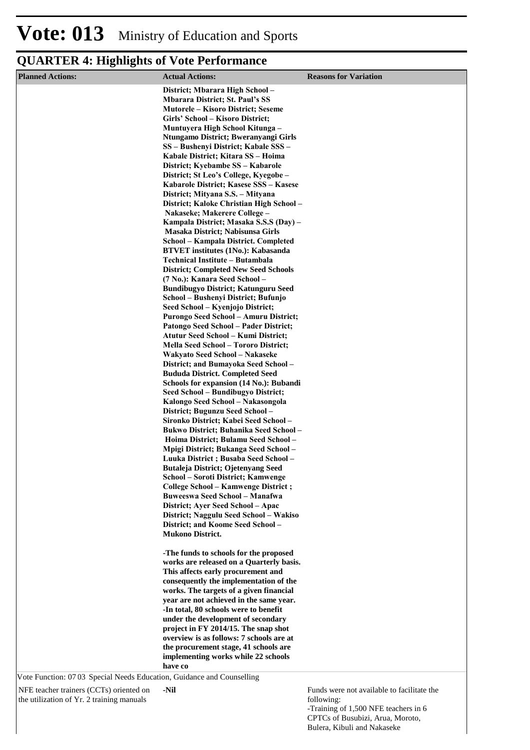| <b>Planned Actions:</b>                                                | <b>Actual Actions:</b>                                                              | <b>Reasons for Variation</b> |
|------------------------------------------------------------------------|-------------------------------------------------------------------------------------|------------------------------|
|                                                                        | District; Mbarara High School-                                                      |                              |
|                                                                        | <b>Mbarara District; St. Paul's SS</b>                                              |                              |
|                                                                        | <b>Mutorele – Kisoro District; Seseme</b><br>Girls' School - Kisoro District;       |                              |
|                                                                        | Muntuyera High School Kitunga -                                                     |                              |
|                                                                        | Ntungamo District; Bweranyangi Girls                                                |                              |
|                                                                        | SS - Bushenyi District; Kabale SSS -                                                |                              |
|                                                                        | Kabale District; Kitara SS - Hoima                                                  |                              |
|                                                                        | District; Kyebambe SS – Kabarole<br>District; St Leo's College, Kyegobe -           |                              |
|                                                                        | Kabarole District; Kasese SSS - Kasese                                              |                              |
|                                                                        | District; Mityana S.S. - Mityana                                                    |                              |
|                                                                        | District; Kaloke Christian High School -                                            |                              |
|                                                                        | Nakaseke; Makerere College -                                                        |                              |
|                                                                        | Kampala District; Masaka S.S.S (Day) -<br>Masaka District; Nabisunsa Girls          |                              |
|                                                                        | School – Kampala District. Completed                                                |                              |
|                                                                        | <b>BTVET</b> institutes (1No.): Kabasanda                                           |                              |
|                                                                        | Technical Institute - Butambala                                                     |                              |
|                                                                        | <b>District; Completed New Seed Schools</b><br>(7 No.): Kanara Seed School-         |                              |
|                                                                        | <b>Bundibugyo District; Katunguru Seed</b>                                          |                              |
|                                                                        | School – Bushenyi District; Bufunjo                                                 |                              |
|                                                                        | Seed School - Kyenjojo District;                                                    |                              |
|                                                                        | Purongo Seed School - Amuru District;                                               |                              |
|                                                                        | Patongo Seed School - Pader District;<br><b>Atutur Seed School - Kumi District;</b> |                              |
|                                                                        | <b>Mella Seed School - Tororo District;</b>                                         |                              |
|                                                                        | Wakyato Seed School – Nakaseke                                                      |                              |
|                                                                        | District; and Bumayoka Seed School -                                                |                              |
|                                                                        | <b>Bududa District. Completed Seed</b>                                              |                              |
|                                                                        | Schools for expansion (14 No.): Bubandi<br>Seed School – Bundibugyo District;       |                              |
|                                                                        | Kalongo Seed School – Nakasongola                                                   |                              |
|                                                                        | District; Bugunzu Seed School -                                                     |                              |
|                                                                        | Sironko District; Kabei Seed School -                                               |                              |
|                                                                        | Bukwo District; Buhanika Seed School -<br>Hoima District; Bulamu Seed School -      |                              |
|                                                                        | Mpigi District; Bukanga Seed School -                                               |                              |
|                                                                        | Luuka District ; Busaba Seed School -                                               |                              |
|                                                                        | <b>Butaleja District; Ojetenyang Seed</b>                                           |                              |
|                                                                        | School – Soroti District; Kamwenge                                                  |                              |
|                                                                        | College School - Kamwenge District;<br><b>Buweeswa Seed School - Manafwa</b>        |                              |
|                                                                        | District; Ayer Seed School - Apac                                                   |                              |
|                                                                        | District; Naggulu Seed School - Wakiso                                              |                              |
|                                                                        | District; and Koome Seed School -                                                   |                              |
|                                                                        | <b>Mukono District.</b>                                                             |                              |
|                                                                        | -The funds to schools for the proposed                                              |                              |
|                                                                        | works are released on a Quarterly basis.                                            |                              |
|                                                                        | This affects early procurement and                                                  |                              |
|                                                                        | consequently the implementation of the                                              |                              |
|                                                                        | works. The targets of a given financial<br>year are not achieved in the same year.  |                              |
|                                                                        | -In total, 80 schools were to benefit                                               |                              |
|                                                                        | under the development of secondary                                                  |                              |
|                                                                        | project in FY 2014/15. The snap shot                                                |                              |
|                                                                        | overview is as follows: 7 schools are at<br>the procurement stage, 41 schools are   |                              |
|                                                                        | implementing works while 22 schools                                                 |                              |
|                                                                        | have co                                                                             |                              |
| Vote Function: 07 03 Special Needs Education, Guidance and Counselling |                                                                                     |                              |

NFE teacher trainers (CCTs) oriented on the utilization of Yr. 2 training manuals

**-Nil**

Funds were not available to facilitate the following: -Training of 1,500 NFE teachers in 6

CPTCs of Busubizi, Arua, Moroto, Bulera, Kibuli and Nakaseke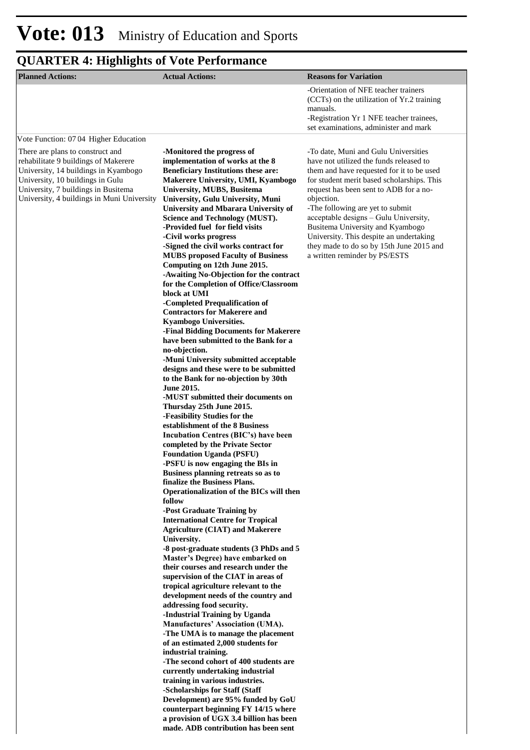| <b>Planned Actions:</b>                                                                                                                                                                                                                   | <b>Actual Actions:</b>                                                                                                                                                                                                                                                                                                                                                                                                                                                                                                                                                                                                                                                                                                                                                                                                                                                                                                                                                                                                                                                                                                                                                                                                                                                                                                                                                                                                                                                                                                                                                                                                                                                                                                                                                                                                 | <b>Reasons for Variation</b>                                                                                                                                                                                                                                                                                                                                                                                                                                                |
|-------------------------------------------------------------------------------------------------------------------------------------------------------------------------------------------------------------------------------------------|------------------------------------------------------------------------------------------------------------------------------------------------------------------------------------------------------------------------------------------------------------------------------------------------------------------------------------------------------------------------------------------------------------------------------------------------------------------------------------------------------------------------------------------------------------------------------------------------------------------------------------------------------------------------------------------------------------------------------------------------------------------------------------------------------------------------------------------------------------------------------------------------------------------------------------------------------------------------------------------------------------------------------------------------------------------------------------------------------------------------------------------------------------------------------------------------------------------------------------------------------------------------------------------------------------------------------------------------------------------------------------------------------------------------------------------------------------------------------------------------------------------------------------------------------------------------------------------------------------------------------------------------------------------------------------------------------------------------------------------------------------------------------------------------------------------------|-----------------------------------------------------------------------------------------------------------------------------------------------------------------------------------------------------------------------------------------------------------------------------------------------------------------------------------------------------------------------------------------------------------------------------------------------------------------------------|
|                                                                                                                                                                                                                                           |                                                                                                                                                                                                                                                                                                                                                                                                                                                                                                                                                                                                                                                                                                                                                                                                                                                                                                                                                                                                                                                                                                                                                                                                                                                                                                                                                                                                                                                                                                                                                                                                                                                                                                                                                                                                                        | -Orientation of NFE teacher trainers<br>(CCTs) on the utilization of Yr.2 training<br>manuals.<br>-Registration Yr 1 NFE teacher trainees,<br>set examinations, administer and mark                                                                                                                                                                                                                                                                                         |
| Vote Function: 0704 Higher Education                                                                                                                                                                                                      |                                                                                                                                                                                                                                                                                                                                                                                                                                                                                                                                                                                                                                                                                                                                                                                                                                                                                                                                                                                                                                                                                                                                                                                                                                                                                                                                                                                                                                                                                                                                                                                                                                                                                                                                                                                                                        |                                                                                                                                                                                                                                                                                                                                                                                                                                                                             |
| There are plans to construct and<br>rehabilitate 9 buildings of Makerere<br>University, 14 buildings in Kyambogo<br>University, 10 buildings in Gulu<br>University, 7 buildings in Busitema<br>University, 4 buildings in Muni University | -Monitored the progress of<br>implementation of works at the 8<br><b>Beneficiary Institutions these are:</b><br>Makerere University, UMI, Kyambogo<br>University, MUBS, Busitema<br>University, Gulu University, Muni<br><b>University and Mbarara University of</b><br>Science and Technology (MUST).<br>-Provided fuel for field visits<br>-Civil works progress<br>-Signed the civil works contract for<br><b>MUBS</b> proposed Faculty of Business<br>Computing on 12th June 2015.<br>-Awaiting No-Objection for the contract<br>for the Completion of Office/Classroom<br>block at UMI<br>-Completed Prequalification of<br><b>Contractors for Makerere and</b><br><b>Kyambogo Universities.</b><br>-Final Bidding Documents for Makerere<br>have been submitted to the Bank for a<br>no-objection.<br>-Muni University submitted acceptable<br>designs and these were to be submitted<br>to the Bank for no-objection by 30th<br>June 2015.<br>-MUST submitted their documents on<br>Thursday 25th June 2015.<br>-Feasibility Studies for the<br>establishment of the 8 Business<br>Incubation Centres (BIC's) have been<br>completed by the Private Sector<br><b>Foundation Uganda (PSFU)</b><br>-PSFU is now engaging the BIs in<br>Business planning retreats so as to<br>finalize the Business Plans.<br>Operationalization of the BICs will then<br>follow<br>-Post Graduate Training by<br><b>International Centre for Tropical</b><br><b>Agriculture (CIAT) and Makerere</b><br>University.<br>-8 post-graduate students (3 PhDs and 5<br>Master's Degree) have embarked on<br>their courses and research under the<br>supervision of the CIAT in areas of<br>tropical agriculture relevant to the<br>development needs of the country and<br>addressing food security.<br>-Industrial Training by Uganda | -To date, Muni and Gulu Universities<br>have not utilized the funds released to<br>them and have requested for it to be used<br>for student merit based scholarships. This<br>request has been sent to ADB for a no-<br>objection.<br>-The following are yet to submit<br>acceptable designs - Gulu University,<br>Busitema University and Kyambogo<br>University. This despite an undertaking<br>they made to do so by 15th June 2015 and<br>a written reminder by PS/ESTS |
|                                                                                                                                                                                                                                           | Manufactures' Association (UMA).<br>-The UMA is to manage the placement<br>of an estimated 2,000 students for<br>industrial training.<br>-The second cohort of 400 students are<br>currently undertaking industrial<br>training in various industries.<br>-Scholarships for Staff (Staff                                                                                                                                                                                                                                                                                                                                                                                                                                                                                                                                                                                                                                                                                                                                                                                                                                                                                                                                                                                                                                                                                                                                                                                                                                                                                                                                                                                                                                                                                                                               |                                                                                                                                                                                                                                                                                                                                                                                                                                                                             |
|                                                                                                                                                                                                                                           | Development) are 95% funded by GoU<br>counterpart beginning FY 14/15 where<br>a provision of UGX 3.4 billion has been<br>made. ADB contribution has been sent                                                                                                                                                                                                                                                                                                                                                                                                                                                                                                                                                                                                                                                                                                                                                                                                                                                                                                                                                                                                                                                                                                                                                                                                                                                                                                                                                                                                                                                                                                                                                                                                                                                          |                                                                                                                                                                                                                                                                                                                                                                                                                                                                             |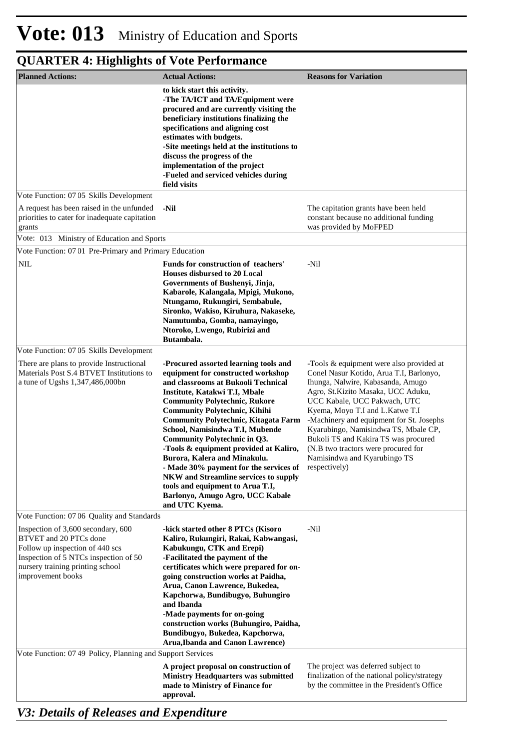| <b>Planned Actions:</b>                                                                                                                                                                           | <b>Actual Actions:</b>                                                                                                                                                                                                                                                                                                                                                                                                                                                                                                                                                                                              | <b>Reasons for Variation</b>                                                                                                                                                                                                                                                                                                                                                                                                                          |
|---------------------------------------------------------------------------------------------------------------------------------------------------------------------------------------------------|---------------------------------------------------------------------------------------------------------------------------------------------------------------------------------------------------------------------------------------------------------------------------------------------------------------------------------------------------------------------------------------------------------------------------------------------------------------------------------------------------------------------------------------------------------------------------------------------------------------------|-------------------------------------------------------------------------------------------------------------------------------------------------------------------------------------------------------------------------------------------------------------------------------------------------------------------------------------------------------------------------------------------------------------------------------------------------------|
|                                                                                                                                                                                                   | to kick start this activity.<br>-The TA/ICT and TA/Equipment were<br>procured and are currently visiting the<br>beneficiary institutions finalizing the<br>specifications and aligning cost<br>estimates with budgets.<br>-Site meetings held at the institutions to<br>discuss the progress of the<br>implementation of the project<br>-Fueled and serviced vehicles during<br>field visits                                                                                                                                                                                                                        |                                                                                                                                                                                                                                                                                                                                                                                                                                                       |
| Vote Function: 07 05 Skills Development                                                                                                                                                           |                                                                                                                                                                                                                                                                                                                                                                                                                                                                                                                                                                                                                     |                                                                                                                                                                                                                                                                                                                                                                                                                                                       |
| A request has been raised in the unfunded<br>priorities to cater for inadequate capitation<br>grants                                                                                              | -Nil                                                                                                                                                                                                                                                                                                                                                                                                                                                                                                                                                                                                                | The capitation grants have been held<br>constant because no additional funding<br>was provided by MoFPED                                                                                                                                                                                                                                                                                                                                              |
| Vote: 013 Ministry of Education and Sports                                                                                                                                                        |                                                                                                                                                                                                                                                                                                                                                                                                                                                                                                                                                                                                                     |                                                                                                                                                                                                                                                                                                                                                                                                                                                       |
| Vote Function: 0701 Pre-Primary and Primary Education                                                                                                                                             |                                                                                                                                                                                                                                                                                                                                                                                                                                                                                                                                                                                                                     |                                                                                                                                                                                                                                                                                                                                                                                                                                                       |
| <b>NIL</b>                                                                                                                                                                                        | <b>Funds for construction of teachers'</b><br><b>Houses disbursed to 20 Local</b><br>Governments of Bushenyi, Jinja,<br>Kabarole, Kalangala, Mpigi, Mukono,<br>Ntungamo, Rukungiri, Sembabule,<br>Sironko, Wakiso, Kiruhura, Nakaseke,<br>Namutumba, Gomba, namayingo,<br>Ntoroko, Lwengo, Rubirizi and<br>Butambala.                                                                                                                                                                                                                                                                                               | -Nil                                                                                                                                                                                                                                                                                                                                                                                                                                                  |
| Vote Function: 07 05 Skills Development                                                                                                                                                           |                                                                                                                                                                                                                                                                                                                                                                                                                                                                                                                                                                                                                     |                                                                                                                                                                                                                                                                                                                                                                                                                                                       |
| There are plans to provide Instructional<br>Materials Post S.4 BTVET Institutions to<br>a tune of Ugshs 1,347,486,000bn                                                                           | -Procured assorted learning tools and<br>equipment for constructed workshop<br>and classrooms at Bukooli Technical<br>Institute, Katakwi T.I, Mbale<br><b>Community Polytechnic, Rukore</b><br><b>Community Polytechnic, Kihihi</b><br><b>Community Polytechnic, Kitagata Farm</b><br>School, Namisindwa T.I, Mubende<br>Community Polytechnic in Q3.<br>-Tools & equipment provided at Kaliro,<br>Burora, Kalera and Minakulu.<br>- Made 30% payment for the services of<br><b>NKW</b> and Streamline services to supply<br>tools and equipment to Arua T.I,<br>Barlonyo, Amugo Agro, UCC Kabale<br>and UTC Kyema. | -Tools & equipment were also provided at<br>Conel Nasur Kotido, Arua T.I, Barlonyo,<br>Ihunga, Nalwire, Kabasanda, Amugo<br>Agro, St.Kizito Masaka, UCC Aduku,<br>UCC Kabale, UCC Pakwach, UTC<br>Kyema, Moyo T.I and L.Katwe T.I<br>-Machinery and equipment for St. Josephs<br>Kyarubingo, Namisindwa TS, Mbale CP,<br>Bukoli TS and Kakira TS was procured<br>(N.B two tractors were procured for<br>Namisindwa and Kyarubingo TS<br>respectively) |
| Vote Function: 07 06 Quality and Standards                                                                                                                                                        |                                                                                                                                                                                                                                                                                                                                                                                                                                                                                                                                                                                                                     |                                                                                                                                                                                                                                                                                                                                                                                                                                                       |
| Inspection of 3,600 secondary, 600<br>BTVET and 20 PTCs done<br>Follow up inspection of 440 scs<br>Inspection of 5 NTCs inspection of 50<br>nursery training printing school<br>improvement books | -kick started other 8 PTCs (Kisoro<br>Kaliro, Rukungiri, Rakai, Kabwangasi,<br>Kabukungu, CTK and Erepi)<br>-Facilitated the payment of the<br>certificates which were prepared for on-<br>going construction works at Paidha,<br>Arua, Canon Lawrence, Bukedea,<br>Kapchorwa, Bundibugyo, Buhungiro<br>and Ibanda<br>-Made payments for on-going<br>construction works (Buhungiro, Paidha,<br>Bundibugyo, Bukedea, Kapchorwa,<br><b>Arua, Ibanda and Canon Lawrence)</b>                                                                                                                                           | -Nil                                                                                                                                                                                                                                                                                                                                                                                                                                                  |
| Vote Function: 07 49 Policy, Planning and Support Services                                                                                                                                        |                                                                                                                                                                                                                                                                                                                                                                                                                                                                                                                                                                                                                     |                                                                                                                                                                                                                                                                                                                                                                                                                                                       |
|                                                                                                                                                                                                   | A project proposal on construction of<br><b>Ministry Headquarters was submitted</b><br>made to Ministry of Finance for<br>approval.                                                                                                                                                                                                                                                                                                                                                                                                                                                                                 | The project was deferred subject to<br>finalization of the national policy/strategy<br>by the committee in the President's Office                                                                                                                                                                                                                                                                                                                     |

*V3: Details of Releases and Expenditure*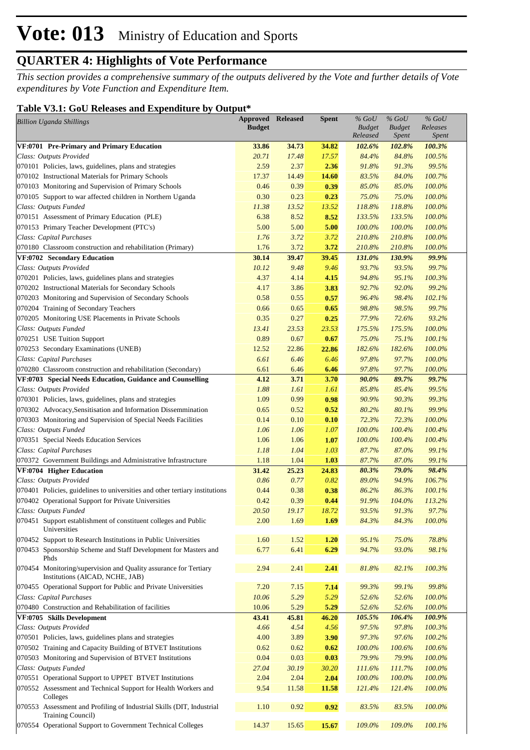*This section provides a comprehensive summary of the outputs delivered by the Vote and further details of Vote expenditures by Vote Function and Expenditure Item.*

### **Table V3.1: GoU Releases and Expenditure by Output\***

| <b>Billion Uganda Shillings</b>                                                                     | <b>Approved Released</b><br><b>Budget</b> |       | <b>Spent</b> | $\%$ GoU<br><b>Budget</b><br>Released | $%$ GoU<br><b>Budget</b><br><b>Spent</b> | $%$ GoU<br>Releases<br>Spent |  |
|-----------------------------------------------------------------------------------------------------|-------------------------------------------|-------|--------------|---------------------------------------|------------------------------------------|------------------------------|--|
| VF:0701 Pre-Primary and Primary Education                                                           | 33.86                                     | 34.73 | 34.82        | 102.6%                                | 102.8%                                   | 100.3%                       |  |
| Class: Outputs Provided                                                                             | 20.71                                     | 17.48 | 17.57        | 84.4%                                 | 84.8%                                    | 100.5%                       |  |
| 070101 Policies, laws, guidelines, plans and strategies                                             | 2.59                                      | 2.37  | 2.36         | 91.8%                                 | 91.3%                                    | 99.5%                        |  |
| 070102 Instructional Materials for Primary Schools                                                  | 17.37                                     | 14.49 | 14.60        | 83.5%                                 | 84.0%                                    | 100.7%                       |  |
| 070103 Monitoring and Supervision of Primary Schools                                                | 0.46                                      | 0.39  | 0.39         | 85.0%                                 | 85.0%                                    | 100.0%                       |  |
| 070105 Support to war affected children in Northern Uganda                                          | 0.30                                      | 0.23  | 0.23         | 75.0%                                 | 75.0%                                    | 100.0%                       |  |
| Class: Outputs Funded                                                                               | 11.38                                     | 13.52 | 13.52        | 118.8%                                | 118.8%                                   | 100.0%                       |  |
| 070151 Assessment of Primary Education (PLE)                                                        | 6.38                                      | 8.52  | 8.52         | 133.5%                                | 133.5%                                   | 100.0%                       |  |
| 070153 Primary Teacher Development (PTC's)                                                          | 5.00                                      | 5.00  | 5.00         | 100.0%                                | 100.0%                                   | 100.0%                       |  |
| Class: Capital Purchases                                                                            | 1.76                                      | 3.72  | 3.72         | 210.8%                                | 210.8%                                   | 100.0%                       |  |
| 070180 Classroom construction and rehabilitation (Primary)                                          | 1.76                                      | 3.72  | 3.72         | 210.8%                                | 210.8%                                   | 100.0%                       |  |
| VF:0702 Secondary Education                                                                         | 30.14                                     | 39.47 | 39.45        | 131.0%                                | 130.9%                                   | 99.9%                        |  |
| Class: Outputs Provided                                                                             | 10.12                                     | 9.48  | 9.46         | 93.7%                                 | 93.5%                                    | 99.7%                        |  |
| 070201 Policies, laws, guidelines plans and strategies                                              | 4.37                                      | 4.14  | 4.15         | 94.8%                                 | 95.1%                                    | 100.3%                       |  |
| 070202 Instructional Materials for Secondary Schools                                                | 4.17                                      | 3.86  | 3.83         | 92.7%                                 | 92.0%                                    | 99.2%                        |  |
| 070203 Monitoring and Supervision of Secondary Schools                                              | 0.58                                      | 0.55  | 0.57         | 96.4%                                 | 98.4%                                    | 102.1%                       |  |
| 070204 Training of Secondary Teachers                                                               | 0.66                                      | 0.65  | 0.65         | 98.8%                                 | 98.5%                                    | 99.7%                        |  |
| 070205 Monitoring USE Placements in Private Schools                                                 | 0.35                                      | 0.27  | 0.25         | 77.9%                                 | 72.6%                                    | 93.2%                        |  |
| Class: Outputs Funded                                                                               | 13.41                                     | 23.53 | 23.53        | 175.5%                                | 175.5%                                   | 100.0%                       |  |
| 070251 USE Tuition Support                                                                          | 0.89                                      | 0.67  | 0.67         | 75.0%                                 | 75.1%                                    | 100.1%                       |  |
| 070253 Secondary Examinations (UNEB)                                                                | 12.52                                     | 22.86 | 22.86        | 182.6%                                | 182.6%                                   | 100.0%                       |  |
| Class: Capital Purchases                                                                            | 6.61                                      | 6.46  | 6.46         | 97.8%                                 | 97.7%                                    | 100.0%                       |  |
| 070280 Classroom construction and rehabilitation (Secondary)                                        | 6.61                                      | 6.46  | 6.46         | 97.8%                                 | 97.7%                                    | 100.0%                       |  |
| VF:0703 Special Needs Education, Guidance and Counselling                                           | 4.12                                      | 3.71  | 3.70         | 90.0%                                 | 89.7%                                    | 99.7%                        |  |
| Class: Outputs Provided                                                                             | 1.88                                      | 1.61  | 1.61         | 85.8%                                 | 85.4%                                    | 99.5%                        |  |
| 070301 Policies, laws, guidelines, plans and strategies                                             | 1.09                                      | 0.99  | 0.98         | 90.9%                                 | 90.3%                                    | 99.3%                        |  |
| 070302 Advocacy, Sensitisation and Information Dissemmination                                       | 0.65                                      | 0.52  | 0.52         | 80.2%                                 | 80.1%                                    | 99.9%                        |  |
| 070303 Monitoring and Supervision of Special Needs Facilities                                       | 0.14                                      | 0.10  | 0.10         | 72.3%                                 | 72.3%                                    | 100.0%                       |  |
| Class: Outputs Funded                                                                               | 1.06                                      | 1.06  | 1.07         | 100.0%                                | 100.4%                                   | 100.4%                       |  |
| 070351 Special Needs Education Services                                                             | 1.06                                      | 1.06  | 1.07         | 100.0%                                | 100.4%                                   | 100.4%                       |  |
| Class: Capital Purchases                                                                            | 1.18                                      | 1.04  | 1.03         | 87.7%                                 | 87.0%                                    | 99.1%                        |  |
| 070372 Government Buildings and Administrative Infrastructure                                       | 1.18                                      | 1.04  | 1.03         | 87.7%                                 | 87.0%                                    | 99.1%                        |  |
| VF:0704 Higher Education                                                                            | 31.42                                     | 25.23 | 24.83        | 80.3%                                 | 79.0%                                    | 98.4%                        |  |
| Class: Outputs Provided                                                                             | 0.86                                      | 0.77  | 0.82         | 89.0%                                 | 94.9%                                    | 106.7%                       |  |
| 070401 Policies, guidelines to universities and other tertiary institutions                         | 0.44                                      | 0.38  | 0.38         | 86.2%                                 | 86.3%                                    | 100.1%                       |  |
| 070402 Operational Support for Private Universities                                                 | 0.42                                      | 0.39  | 0.44         | 91.9%                                 | 104.0%                                   | 113.2%                       |  |
| Class: Outputs Funded                                                                               | 20.50                                     | 19.17 | 18.72        | 93.5%                                 | 91.3%                                    | 97.7%                        |  |
| 070451 Support establishment of constituent colleges and Public<br>Universities                     | 2.00                                      | 1.69  | 1.69         | 84.3%                                 | 84.3%                                    | 100.0%                       |  |
| 070452 Support to Research Institutions in Public Universities                                      | 1.60                                      | 1.52  | 1.20         | 95.1%                                 | 75.0%                                    | 78.8%                        |  |
| 070453 Sponsorship Scheme and Staff Development for Masters and                                     | 6.77                                      | 6.41  | 6.29         | 94.7%                                 | 93.0%                                    | 98.1%                        |  |
| Phds                                                                                                |                                           |       |              |                                       |                                          |                              |  |
| 070454 Monitoring/supervision and Quality assurance for Tertiary<br>Institutions (AICAD, NCHE, JAB) | 2.94                                      | 2.41  | 2.41         | 81.8%                                 | 82.1%                                    | 100.3%                       |  |
| 070455 Operational Support for Public and Private Universities                                      | 7.20                                      | 7.15  | 7.14         | 99.3%                                 | 99.1%                                    | 99.8%                        |  |
| Class: Capital Purchases                                                                            | 10.06                                     | 5.29  | 5.29         | 52.6%                                 | 52.6%                                    | 100.0%                       |  |
| 070480 Construction and Rehabilitation of facilities                                                | 10.06                                     | 5.29  | 5.29         | 52.6%                                 | 52.6%                                    | 100.0%                       |  |
| VF:0705 Skills Development                                                                          | 43.41                                     | 45.81 | 46.20        | 105.5%                                | 106.4%                                   | 100.9%                       |  |
| Class: Outputs Provided                                                                             | 4.66                                      | 4.54  | 4.56         | 97.5%                                 | 97.8%                                    | 100.3%                       |  |
| 070501 Policies, laws, guidelines plans and strategies                                              | 4.00                                      | 3.89  | 3.90         | 97.3%                                 | 97.6%                                    | 100.2%                       |  |
| 070502 Training and Capacity Building of BTVET Institutions                                         | 0.62                                      | 0.62  | 0.62         | 100.0%                                | 100.6%                                   | 100.6%                       |  |
| 070503 Monitoring and Supervision of BTVET Institutions                                             | 0.04                                      | 0.03  | 0.03         | 79.9%                                 | 79.9%                                    | 100.0%                       |  |
| Class: Outputs Funded                                                                               | 27.04                                     | 30.19 | 30.20        | 111.6%                                | 111.7%                                   | $100.0\%$                    |  |
| 070551 Operational Support to UPPET BTVET Institutions                                              | 2.04                                      | 2.04  | 2.04         | 100.0%                                | 100.0%                                   | 100.0%                       |  |
| 070552 Assessment and Technical Support for Health Workers and<br>Colleges                          | 9.54                                      | 11.58 | 11.58        | 121.4%                                | 121.4%                                   | $100.0\%$                    |  |
| 070553 Assessment and Profiling of Industrial Skills (DIT, Industrial<br>Training Council)          | 1.10                                      | 0.92  | 0.92         | 83.5%                                 | 83.5%                                    | 100.0%                       |  |
| 070554 Operational Support to Government Technical Colleges                                         | 14.37                                     | 15.65 | 15.67        | 109.0%                                | 109.0%                                   | 100.1%                       |  |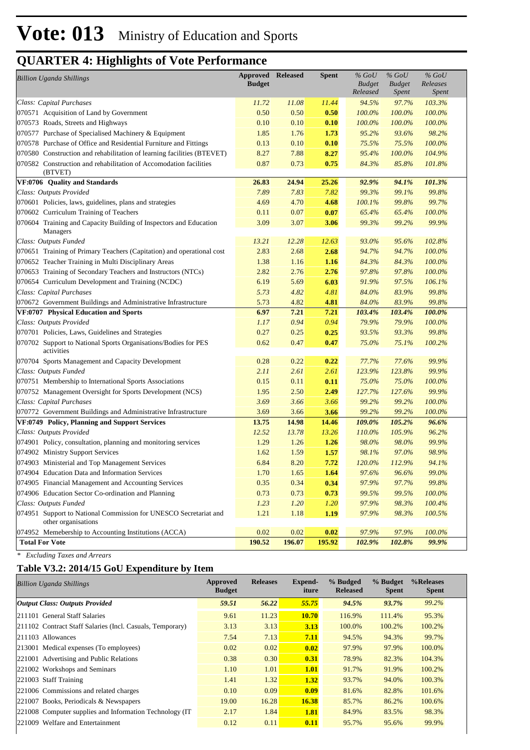|                                                                                         | <b>Approved Released</b> |        | Spent  | $%$ GoU       | $%$ GoU       | $%$ GoU      |
|-----------------------------------------------------------------------------------------|--------------------------|--------|--------|---------------|---------------|--------------|
| <b>Billion Uganda Shillings</b>                                                         | <b>Budget</b>            |        |        | <b>Budget</b> | <b>Budget</b> | Releases     |
|                                                                                         |                          |        |        | Released      | <i>Spent</i>  | <b>Spent</b> |
| Class: Capital Purchases                                                                | 11.72                    | 11.08  | 11.44  | 94.5%         | 97.7%         | 103.3%       |
| 070571 Acquisition of Land by Government                                                | 0.50                     | 0.50   | 0.50   | 100.0%        | 100.0%        | 100.0%       |
| 070573 Roads, Streets and Highways                                                      | 0.10                     | 0.10   | 0.10   | 100.0%        | 100.0%        | 100.0%       |
| 070577 Purchase of Specialised Machinery & Equipment                                    | 1.85                     | 1.76   | 1.73   | 95.2%         | 93.6%         | 98.2%        |
| 070578 Purchase of Office and Residential Furniture and Fittings                        | 0.13                     | 0.10   | 0.10   | 75.5%         | 75.5%         | 100.0%       |
| 070580 Construction and rehabilitation of learning facilities (BTEVET)                  | 8.27                     | 7.88   | 8.27   | 95.4%         | 100.0%        | 104.9%       |
| 070582 Construction and rehabilitation of Accomodation facilities<br>(BTVET)            | 0.87                     | 0.73   | 0.75   | 84.3%         | 85.8%         | 101.8%       |
| VF:0706 Quality and Standards                                                           | 26.83                    | 24.94  | 25.26  | 92.9%         | 94.1%         | 101.3%       |
| Class: Outputs Provided                                                                 | 7.89                     | 7.83   | 7.82   | 99.3%         | 99.1%         | 99.8%        |
| 070601 Policies, laws, guidelines, plans and strategies                                 | 4.69                     | 4.70   | 4.68   | 100.1%        | 99.8%         | 99.7%        |
| 070602 Curriculum Training of Teachers                                                  | 0.11                     | 0.07   | 0.07   | 65.4%         | 65.4%         | 100.0%       |
| 070604 Training and Capacity Building of Inspectors and Education                       | 3.09                     | 3.07   | 3.06   | 99.3%         | 99.2%         | 99.9%        |
| Managers                                                                                |                          |        |        |               |               |              |
| Class: Outputs Funded                                                                   | 13.21                    | 12.28  | 12.63  | 93.0%         | 95.6%         | 102.8%       |
| 070651 Training of Primary Teachers (Capitation) and operational cost                   | 2.83                     | 2.68   | 2.68   | 94.7%         | 94.7%         | 100.0%       |
| 070652 Teacher Training in Multi Disciplinary Areas                                     | 1.38                     | 1.16   | 1.16   | 84.3%         | 84.3%         | 100.0%       |
| 070653 Training of Secondary Teachers and Instructors (NTCs)                            | 2.82                     | 2.76   | 2.76   | 97.8%         | 97.8%         | 100.0%       |
| 070654 Curriculum Development and Training (NCDC)                                       | 6.19                     | 5.69   | 6.03   | 91.9%         | 97.5%         | 106.1%       |
| Class: Capital Purchases                                                                | 5.73                     | 4.82   | 4.81   | 84.0%         | 83.9%         | 99.8%        |
| 070672 Government Buildings and Administrative Infrastructure                           | 5.73                     | 4.82   | 4.81   | 84.0%         | 83.9%         | 99.8%        |
| VF:0707 Physical Education and Sports                                                   | 6.97                     | 7.21   | 7.21   | 103.4%        | 103.4%        | 100.0%       |
| Class: Outputs Provided                                                                 | 1.17                     | 0.94   | 0.94   | 79.9%         | 79.9%         | 100.0%       |
| 070701 Policies, Laws, Guidelines and Strategies                                        | 0.27                     | 0.25   | 0.25   | 93.5%         | 93.3%         | 99.8%        |
| 070702 Support to National Sports Organisations/Bodies for PES<br>activities            | 0.62                     | 0.47   | 0.47   | 75.0%         | 75.1%         | 100.2%       |
| 070704 Sports Management and Capacity Development                                       | 0.28                     | 0.22   | 0.22   | 77.7%         | 77.6%         | 99.9%        |
| Class: Outputs Funded                                                                   | 2.11                     | 2.61   | 2.61   | 123.9%        | 123.8%        | 99.9%        |
| 070751 Membership to International Sports Associations                                  | 0.15                     | 0.11   | 0.11   | 75.0%         | 75.0%         | 100.0%       |
| 070752 Management Oversight for Sports Development (NCS)                                | 1.95                     | 2.50   | 2.49   | 127.7%        | 127.6%        | 99.9%        |
| Class: Capital Purchases                                                                | 3.69                     | 3.66   | 3.66   | 99.2%         | 99.2%         | 100.0%       |
| 070772 Government Buildings and Administrative Infrastructure                           | 3.69                     | 3.66   | 3.66   | 99.2%         | 99.2%         | 100.0%       |
| VF:0749 Policy, Planning and Support Services                                           | 13.75                    | 14.98  | 14.46  | 109.0%        | 105.2%        | 96.6%        |
| Class: Outputs Provided                                                                 | 12.52                    | 13.78  | 13.26  | 110.0%        | 105.9%        | 96.2%        |
| 074901 Policy, consultation, planning and monitoring services                           | 1.29                     | 1.26   | 1.26   | 98.0%         | 98.0%         | 99.9%        |
| 074902 Ministry Support Services                                                        | 1.62                     | 1.59   | 1.57   | 98.1%         | 97.0%         | 98.9%        |
| 074903 Ministerial and Top Management Services                                          | 6.84                     | 8.20   | 7.72   | 120.0%        | 112.9%        | 94.1%        |
| 074904 Education Data and Information Services                                          | 1.70                     | 1.65   | 1.64   | 97.6%         | 96.6%         | 99.0%        |
| 074905 Financial Management and Accounting Services                                     | 0.35                     | 0.34   | 0.34   | 97.9%         | 97.7%         | 99.8%        |
| 074906 Education Sector Co-ordination and Planning                                      | 0.73                     | 0.73   | 0.73   | 99.5%         | 99.5%         | 100.0%       |
| Class: Outputs Funded                                                                   | 1.23                     | 1.20   | 1.20   | 97.9%         | 98.3%         | 100.4%       |
| 074951 Support to National Commission for UNESCO Secretariat and<br>other organisations | 1.21                     | 1.18   | 1.19   | 97.9%         | 98.3%         | 100.5%       |
| 074952 Memebership to Accounting Institutions (ACCA)                                    | 0.02                     | 0.02   | 0.02   | 97.9%         | 97.9%         | 100.0%       |
| <b>Total For Vote</b>                                                                   | 190.52                   | 196.07 | 195.92 | 102.9%        | 102.8%        | 99.9%        |

*\* Excluding Taxes and Arrears*

### **Table V3.2: 2014/15 GoU Expenditure by Item**

| <b>Billion Uganda Shillings</b>                           | Approved<br><b>Budget</b> | <b>Releases</b> | Expend-<br>iture | % Budged<br><b>Released</b> | % Budget<br><b>Spent</b> | %Releases<br><b>Spent</b> |
|-----------------------------------------------------------|---------------------------|-----------------|------------------|-----------------------------|--------------------------|---------------------------|
| Output Class: Outputs Provided                            | 59.51                     | 56.22           | 55.75            | 94.5%                       | 93.7%                    | 99.2%                     |
| 211101 General Staff Salaries                             | 9.61                      | 11.23           | <b>10.70</b>     | 116.9%                      | 111.4%                   | 95.3%                     |
| 211102 Contract Staff Salaries (Incl. Casuals, Temporary) | 3.13                      | 3.13            | 3.13             | 100.0%                      | 100.2%                   | 100.2%                    |
| 211103 Allowances                                         | 7.54                      | 7.13            | 7.11             | 94.5%                       | 94.3%                    | 99.7%                     |
| [213001 Medical expenses (To employees)                   | 0.02                      | 0.02            | 0.02             | 97.9%                       | 97.9%                    | 100.0%                    |
| 221001 Advertising and Public Relations                   | 0.38                      | 0.30            | 0.31             | 78.9%                       | 82.3%                    | 104.3%                    |
| 221002 Workshops and Seminars                             | 1.10                      | 1.01            | 1.01             | 91.7%                       | 91.9%                    | 100.2%                    |
| 221003 Staff Training                                     | 1.41                      | 1.32            | 1.32             | 93.7%                       | 94.0%                    | 100.3%                    |
| 221006 Commissions and related charges                    | 0.10                      | 0.09            | 0.09             | 81.6%                       | 82.8%                    | 101.6%                    |
| $ 221007 \text{ Books}$ , Periodicals & Newspapers        | 19.00                     | 16.28           | <b>16.38</b>     | 85.7%                       | 86.2%                    | 100.6%                    |
| 221008 Computer supplies and Information Technology (IT)  | 2.17                      | 1.84            | 1.81             | 84.9%                       | 83.5%                    | 98.3%                     |
| 221009 Welfare and Entertainment                          | 0.12                      | 0.11            | 0.11             | 95.7%                       | 95.6%                    | 99.9%                     |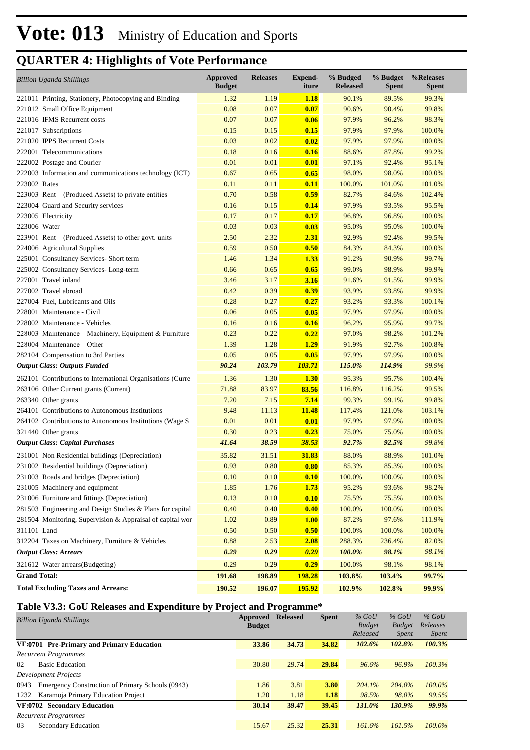| <b>Billion Uganda Shillings</b>                            | <b>Approved</b><br><b>Budget</b> | <b>Releases</b> | <b>Expend-</b><br>iture | % Budged<br><b>Released</b> | % Budget<br><b>Spent</b> | %Releases<br><b>Spent</b> |
|------------------------------------------------------------|----------------------------------|-----------------|-------------------------|-----------------------------|--------------------------|---------------------------|
| 221011 Printing, Stationery, Photocopying and Binding      | 1.32                             | 1.19            | <b>1.18</b>             | 90.1%                       | 89.5%                    | 99.3%                     |
| 221012 Small Office Equipment                              | 0.08                             | 0.07            | 0.07                    | 90.6%                       | 90.4%                    | 99.8%                     |
| 221016 IFMS Recurrent costs                                | 0.07                             | 0.07            | 0.06                    | 97.9%                       | 96.2%                    | 98.3%                     |
| 221017 Subscriptions                                       | 0.15                             | 0.15            | 0.15                    | 97.9%                       | 97.9%                    | 100.0%                    |
| 221020 IPPS Recurrent Costs                                | 0.03                             | 0.02            | 0.02                    | 97.9%                       | 97.9%                    | 100.0%                    |
| 222001 Telecommunications                                  | 0.18                             | 0.16            | 0.16                    | 88.6%                       | 87.8%                    | 99.2%                     |
| 222002 Postage and Courier                                 | 0.01                             | 0.01            | 0.01                    | 97.1%                       | 92.4%                    | 95.1%                     |
| 222003 Information and communications technology (ICT)     | 0.67                             | 0.65            | 0.65                    | 98.0%                       | 98.0%                    | 100.0%                    |
| 223002 Rates                                               | 0.11                             | 0.11            | 0.11                    | 100.0%                      | 101.0%                   | 101.0%                    |
| 223003 Rent – (Produced Assets) to private entities        | 0.70                             | 0.58            | 0.59                    | 82.7%                       | 84.6%                    | 102.4%                    |
| 223004 Guard and Security services                         | 0.16                             | 0.15            | 0.14                    | 97.9%                       | 93.5%                    | 95.5%                     |
| 223005 Electricity                                         | 0.17                             | 0.17            | 0.17                    | 96.8%                       | 96.8%                    | 100.0%                    |
| 223006 Water                                               | 0.03                             | 0.03            | 0.03                    | 95.0%                       | 95.0%                    | 100.0%                    |
| 223901 Rent – (Produced Assets) to other govt. units       | 2.50                             | 2.32            | 2.31                    | 92.9%                       | 92.4%                    | 99.5%                     |
| 224006 Agricultural Supplies                               | 0.59                             | 0.50            | 0.50                    | 84.3%                       | 84.3%                    | 100.0%                    |
| 225001 Consultancy Services- Short term                    | 1.46                             | 1.34            | 1.33                    | 91.2%                       | 90.9%                    | 99.7%                     |
| 225002 Consultancy Services-Long-term                      | 0.66                             | 0.65            | 0.65                    | 99.0%                       | 98.9%                    | 99.9%                     |
| 227001 Travel inland                                       | 3.46                             | 3.17            | 3.16                    | 91.6%                       | 91.5%                    | 99.9%                     |
| 227002 Travel abroad                                       | 0.42                             | 0.39            | 0.39                    | 93.9%                       | 93.8%                    | 99.9%                     |
| 227004 Fuel, Lubricants and Oils                           | 0.28                             | 0.27            | 0.27                    | 93.2%                       | 93.3%                    | 100.1%                    |
| 228001 Maintenance - Civil                                 | 0.06                             | 0.05            | 0.05                    | 97.9%                       | 97.9%                    | 100.0%                    |
| 228002 Maintenance - Vehicles                              | 0.16                             | 0.16            | 0.16                    | 96.2%                       | 95.9%                    | 99.7%                     |
| 228003 Maintenance – Machinery, Equipment & Furniture      | 0.23                             | 0.22            | 0.22                    | 97.0%                       | 98.2%                    | 101.2%                    |
| 228004 Maintenance – Other                                 | 1.39                             | 1.28            | 1.29                    | 91.9%                       | 92.7%                    | 100.8%                    |
| 282104 Compensation to 3rd Parties                         | 0.05                             | 0.05            | 0.05                    | 97.9%                       | 97.9%                    | 100.0%                    |
| <b>Output Class: Outputs Funded</b>                        | 90.24                            | 103.79          | 103.71                  | 115.0%                      | 114.9%                   | 99.9%                     |
| 262101 Contributions to International Organisations (Curre | 1.36                             | 1.30            | 1.30                    | 95.3%                       | 95.7%                    | 100.4%                    |
| 263106 Other Current grants (Current)                      | 71.88                            | 83.97           | 83.56                   | 116.8%                      | 116.2%                   | 99.5%                     |
| 263340 Other grants                                        | 7.20                             | 7.15            | 7.14                    | 99.3%                       | 99.1%                    | 99.8%                     |
| 264101 Contributions to Autonomous Institutions            | 9.48                             | 11.13           | <b>11.48</b>            | 117.4%                      | 121.0%                   | 103.1%                    |
| 264102 Contributions to Autonomous Institutions (Wage S    | 0.01                             | 0.01            | 0.01                    | 97.9%                       | 97.9%                    | 100.0%                    |
| 321440 Other grants                                        | 0.30                             | 0.23            | 0.23                    | 75.0%                       | 75.0%                    | 100.0%                    |
| <b>Output Class: Capital Purchases</b>                     | 41.64                            | 38.59           | 38.53                   | 92.7%                       | 92.5%                    | 99.8%                     |
| 231001 Non Residential buildings (Depreciation)            | 35.82                            | 31.51           | 31.83                   | 88.0%                       | 88.9%                    | 101.0%                    |
| 231002 Residential buildings (Depreciation)                | 0.93                             | 0.80            | 0.80                    | 85.3%                       | 85.3%                    | 100.0%                    |
| 231003 Roads and bridges (Depreciation)                    | 0.10                             | 0.10            | 0.10                    | 100.0%                      | 100.0%                   | 100.0%                    |
| 231005 Machinery and equipment                             | 1.85                             | 1.76            | <b>1.73</b>             | 95.2%                       | 93.6%                    | 98.2%                     |
| 231006 Furniture and fittings (Depreciation)               | 0.13                             | 0.10            | 0.10                    | 75.5%                       | 75.5%                    | 100.0%                    |
| 281503 Engineering and Design Studies & Plans for capital  | 0.40                             | 0.40            | 0.40                    | 100.0%                      | 100.0%                   | 100.0%                    |
| 281504 Monitoring, Supervision & Appraisal of capital wor  | 1.02                             | 0.89            | 1.00                    | 87.2%                       | 97.6%                    | 111.9%                    |
| 311101 Land                                                | 0.50                             | 0.50            | 0.50                    | 100.0%                      | 100.0%                   | 100.0%                    |
| 312204 Taxes on Machinery, Furniture & Vehicles            | 0.88                             | 2.53            | 2.08                    | 288.3%                      | 236.4%                   | 82.0%                     |
| <b>Output Class: Arrears</b>                               | 0.29                             | 0.29            | 0.29                    | 100.0%                      | 98.1%                    | 98.1%                     |
| 321612 Water arrears(Budgeting)                            | 0.29                             | 0.29            | 0.29                    | 100.0%                      | 98.1%                    | 98.1%                     |
| <b>Grand Total:</b>                                        | 191.68                           | 198.89          | <b>198.28</b>           | 103.8%                      | 103.4%                   | 99.7%                     |
| <b>Total Excluding Taxes and Arrears:</b>                  | 190.52                           | 196.07          | 195.92                  | 102.9%                      | 102.8%                   | 99.9%                     |

### **Table V3.3: GoU Releases and Expenditure by Project and Programme\***

| <b>Billion Uganda Shillings</b>                          | Approved      | <b>Released</b> | <b>Spent</b> | $%$ GoU       | $%$ GoU       | $%$ GoU      |
|----------------------------------------------------------|---------------|-----------------|--------------|---------------|---------------|--------------|
|                                                          | <b>Budget</b> |                 |              | <b>Budget</b> | <b>Budget</b> | Releases     |
|                                                          |               |                 |              | Released      | <i>Spent</i>  | <i>Spent</i> |
| VF:0701 Pre-Primary and Primary Education                | 33.86         | 34.73           | 34.82        | 102.6%        | 102.8%        | 100.3%       |
| <b>Recurrent Programmes</b>                              |               |                 |              |               |               |              |
| $ 02\rangle$<br><b>Basic Education</b>                   | 30.80         | 29.74           | 29.84        | 96.6%         | 96.9%         | 100.3%       |
| Development Projects                                     |               |                 |              |               |               |              |
| 0943<br>Emergency Construction of Primary Schools (0943) | 1.86          | 3.81            | 3.80         | $204.1\%$     | 204.0%        | 100.0%       |
| 1232<br>Karamoja Primary Education Project               | 1.20          | 1.18            | 1.18         | 98.5%         | 98.0%         | 99.5%        |
| VF:0702 Secondary Education                              | 30.14         | 39.47           | 39.45        | 131.0%        | 130.9%        | 99.9%        |
| <b>Recurrent Programmes</b>                              |               |                 |              |               |               |              |
| 03<br><b>Secondary Education</b>                         | 15.67         | 25.32           | 25.31        | 161.6%        | 161.5%        | 100.0%       |
|                                                          |               |                 |              |               |               |              |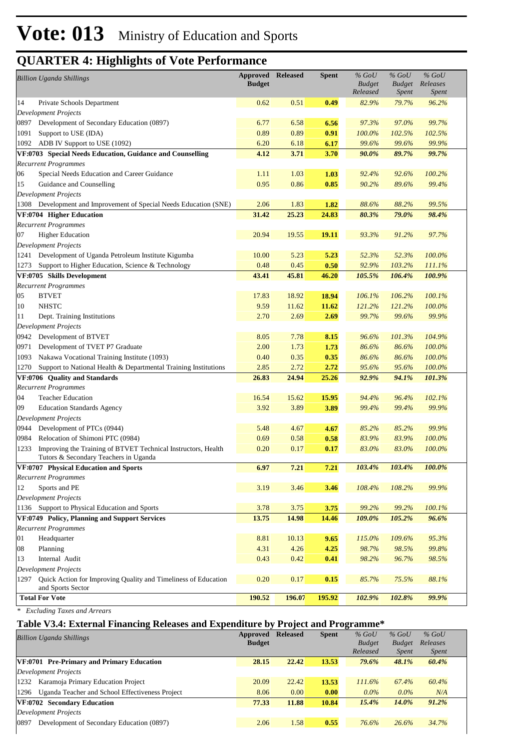|      | <b>Billion Uganda Shillings</b>                                                     | Approved<br><b>Budget</b> | <b>Released</b> | <b>Spent</b> | $%$ GoU<br><b>Budget</b><br>Released | $\%$ GoU<br><b>Budget</b><br><i>Spent</i> | $\%$ GoU<br>Releases<br><b>Spent</b> |  |
|------|-------------------------------------------------------------------------------------|---------------------------|-----------------|--------------|--------------------------------------|-------------------------------------------|--------------------------------------|--|
| 14   | Private Schools Department                                                          | 0.62                      | 0.51            | 0.49         | 82.9%                                | 79.7%                                     | 96.2%                                |  |
|      | <b>Development Projects</b>                                                         |                           |                 |              |                                      |                                           |                                      |  |
| 0897 | Development of Secondary Education (0897)                                           | 6.77                      | 6.58            | 6.56         | 97.3%                                | 97.0%                                     | 99.7%                                |  |
| 1091 | Support to USE (IDA)                                                                | 0.89                      | 0.89            | 0.91         | 100.0%                               | 102.5%                                    | 102.5%                               |  |
| 1092 | ADB IV Support to USE (1092)                                                        | 6.20                      | 6.18            | 6.17         | 99.6%                                | 99.6%                                     | 99.9%                                |  |
|      | VF:0703 Special Needs Education, Guidance and Counselling                           | 4.12                      | 3.71            | 3.70         | 90.0%                                | 89.7%                                     | 99.7%                                |  |
|      | <b>Recurrent Programmes</b>                                                         |                           |                 |              |                                      |                                           |                                      |  |
| 06   | Special Needs Education and Career Guidance                                         | 1.11                      | 1.03            | 1.03         | 92.4%                                | 92.6%                                     | 100.2%                               |  |
| 15   | Guidance and Counselling                                                            | 0.95                      | 0.86            | 0.85         | 90.2%                                | 89.6%                                     | 99.4%                                |  |
|      | <b>Development Projects</b>                                                         |                           |                 |              |                                      |                                           |                                      |  |
|      | 1308 Development and Improvement of Special Needs Education (SNE)                   | 2.06                      | 1.83            | 1.82         | 88.6%                                | 88.2%                                     | 99.5%                                |  |
|      | VF:0704 Higher Education                                                            | 31.42                     | 25.23           | 24.83        | 80.3%                                | 79.0%                                     | 98.4%                                |  |
|      | <b>Recurrent Programmes</b>                                                         |                           |                 |              |                                      |                                           |                                      |  |
| 07   | <b>Higher Education</b>                                                             | 20.94                     | 19.55           | 19.11        | 93.3%                                | 91.2%                                     | 97.7%                                |  |
|      | <b>Development Projects</b>                                                         |                           |                 |              |                                      |                                           |                                      |  |
| 1241 | Development of Uganda Petroleum Institute Kigumba                                   | 10.00                     | 5.23            | 5.23         | 52.3%                                | 52.3%                                     | 100.0%                               |  |
| 1273 | Support to Higher Education, Science & Technology                                   | 0.48                      | 0.45            | 0.50         | 92.9%                                | 103.2%                                    | 111.1%                               |  |
|      | VF:0705 Skills Development                                                          | 43.41                     | 45.81           | 46.20        | 105.5%                               | 106.4%                                    | 100.9%                               |  |
|      | <b>Recurrent Programmes</b>                                                         |                           |                 |              |                                      |                                           |                                      |  |
| 05   | <b>BTVET</b>                                                                        | 17.83                     | 18.92           | 18.94        | 106.1%                               | 106.2%                                    | 100.1%                               |  |
| 10   | <b>NHSTC</b>                                                                        | 9.59                      | 11.62           | 11.62        | 121.2%                               | 121.2%                                    | 100.0%                               |  |
| 11   | Dept. Training Institutions                                                         | 2.70                      | 2.69            | 2.69         | 99.7%                                | 99.6%                                     | 99.9%                                |  |
|      | <b>Development Projects</b>                                                         |                           |                 |              |                                      |                                           |                                      |  |
| 0942 | Development of BTVET                                                                | 8.05                      | 7.78            | 8.15         | 96.6%                                | 101.3%                                    | 104.9%                               |  |
| 0971 | Development of TVET P7 Graduate                                                     | 2.00                      | 1.73            | 1.73         | 86.6%                                | 86.6%                                     | 100.0%                               |  |
| 1093 | Nakawa Vocational Training Institute (1093)                                         | 0.40                      | 0.35            | 0.35         | 86.6%                                | 86.6%                                     | 100.0%                               |  |
| 1270 | Support to National Health & Departmental Training Institutions                     | 2.85                      | 2.72            | 2.72         | 95.6%                                | 95.6%                                     | 100.0%                               |  |
|      | VF:0706 Quality and Standards                                                       | 26.83                     | 24.94           | 25.26        | 92.9%                                | 94.1%                                     | 101.3%                               |  |
| 04   | <b>Recurrent Programmes</b><br><b>Teacher Education</b>                             | 16.54                     | 15.62           | 15.95        | 94.4%                                | 96.4%                                     | 102.1%                               |  |
| 09   | <b>Education Standards Agency</b>                                                   | 3.92                      | 3.89            | 3.89         | 99.4%                                | 99.4%                                     | 99.9%                                |  |
|      | <b>Development Projects</b>                                                         |                           |                 |              |                                      |                                           |                                      |  |
| 0944 | Development of PTCs (0944)                                                          | 5.48                      | 4.67            | 4.67         | 85.2%                                | 85.2%                                     | 99.9%                                |  |
| 0984 | Relocation of Shimoni PTC (0984)                                                    | 0.69                      | 0.58            | 0.58         | 83.9%                                | 83.9%                                     | 100.0%                               |  |
| 1233 | Improving the Training of BTVET Technical Instructors, Health                       | 0.20                      | 0.17            | 0.17         | 83.0%                                | 83.0%                                     | 100.0%                               |  |
|      | Tutors & Secondary Teachers in Uganda                                               |                           |                 |              |                                      |                                           |                                      |  |
|      | VF:0707 Physical Education and Sports                                               | 6.97                      | $7.21$          | 7.21         | 103.4%                               | 103.4%                                    | 100.0%                               |  |
|      | <b>Recurrent Programmes</b>                                                         |                           |                 |              |                                      |                                           |                                      |  |
| 12   | Sports and PE                                                                       | 3.19                      | 3.46            | 3.46         | 108.4%                               | 108.2%                                    | 99.9%                                |  |
|      | <b>Development Projects</b>                                                         |                           |                 |              |                                      |                                           |                                      |  |
|      | 1136 Support to Physical Education and Sports                                       | 3.78                      | 3.75            | 3.75         | 99.2%                                | 99.2%                                     | 100.1%                               |  |
|      | VF:0749 Policy, Planning and Support Services                                       | 13.75                     | 14.98           | 14.46        | 109.0%                               | 105.2%                                    | 96.6%                                |  |
|      | <b>Recurrent Programmes</b>                                                         |                           |                 |              |                                      |                                           |                                      |  |
| 01   | Headquarter                                                                         | 8.81                      | 10.13           | 9.65         | 115.0%                               | 109.6%                                    | 95.3%                                |  |
| 08   | Planning                                                                            | 4.31                      | 4.26            | 4.25         | 98.7%                                | 98.5%                                     | 99.8%                                |  |
| 13   | Internal Audit                                                                      | 0.43                      | 0.42            | 0.41         | 98.2%                                | 96.7%                                     | 98.5%                                |  |
|      | <b>Development Projects</b>                                                         |                           |                 |              |                                      |                                           |                                      |  |
| 1297 | Quick Action for Improving Quality and Timeliness of Education<br>and Sports Sector | 0.20                      | 0.17            | 0.15         | 85.7%                                | 75.5%                                     | 88.1%                                |  |
|      | <b>Total For Vote</b>                                                               | 190.52                    | 196.07          | 195.92       | 102.9%                               | 102.8%                                    | 99.9%                                |  |

*\* Excluding Taxes and Arrears*

### **Table V3.4: External Financing Releases and Expenditure by Project and Programme\***

| <b>Billion Uganda Shillings</b>                         | Approved      | <b>Released</b> | <b>Spent</b> | $%$ GoU       | $%$ GoU       | $%$ GoU      |  |
|---------------------------------------------------------|---------------|-----------------|--------------|---------------|---------------|--------------|--|
|                                                         | <b>Budget</b> |                 |              | <b>Budget</b> | <b>Budget</b> | Releases     |  |
|                                                         |               |                 |              | Released      | <i>Spent</i>  | <i>Spent</i> |  |
| VF:0701 Pre-Primary and Primary Education               | 28.15         | 22.42           | 13.53        | 79.6%         | 48.1%         | 60.4%        |  |
| Development Projects                                    |               |                 |              |               |               |              |  |
| Karamoja Primary Education Project<br>1232              | 20.09         | 22.42           | 13.53        | $111.6\%$     | 67.4%         | 60.4%        |  |
| Uganda Teacher and School Effectiveness Project<br>1296 | 8.06          | 0.00            | 0.00         | $0.0\%$       | $0.0\%$       | N/A          |  |
| VF:0702 Secondary Education                             | 77.33         | 11.88           | 10.84        | 15.4%         | 14.0%         | 91.2%        |  |
| Development Projects                                    |               |                 |              |               |               |              |  |
| Development of Secondary Education (0897)<br>0897       | 2.06          | 1.58            | 0.55         | 76.6%         | 26.6%         | 34.7%        |  |
|                                                         |               |                 |              |               |               |              |  |